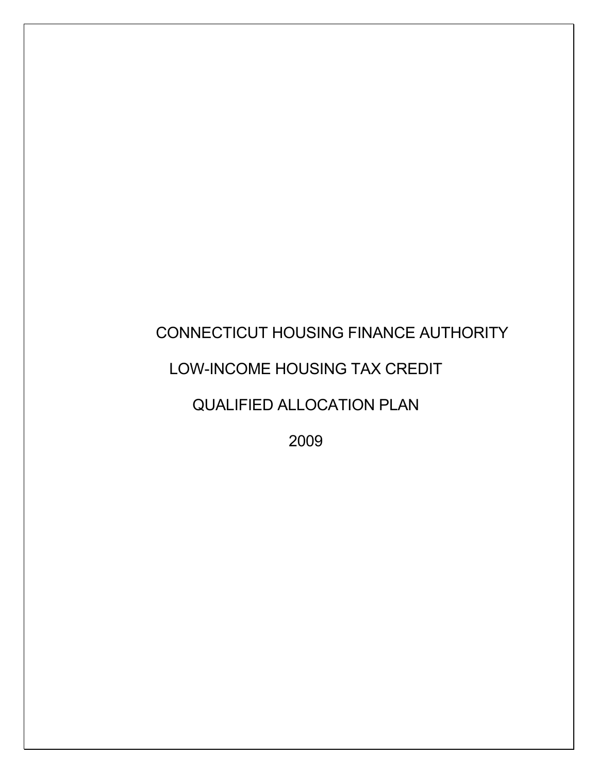# CONNECTICUT HOUSING FINANCE AUTHORITY

# LOW-INCOME HOUSING TAX CREDIT

# QUALIFIED ALLOCATION PLAN

2009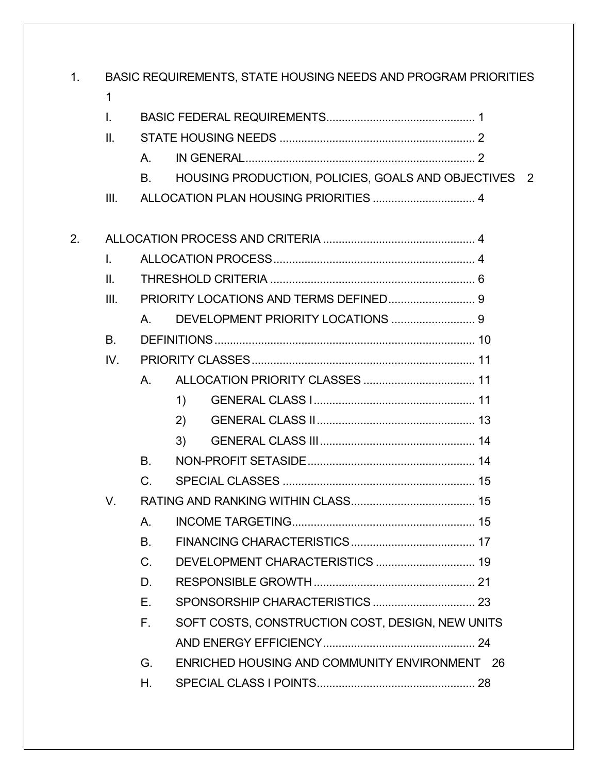| 1. |                 |             | BASIC REQUIREMENTS, STATE HOUSING NEEDS AND PROGRAM PRIORITIES |  |
|----|-----------------|-------------|----------------------------------------------------------------|--|
|    | $\mathbf 1$     |             |                                                                |  |
|    | $\mathbf{L}$    |             |                                                                |  |
|    | Ш.              |             |                                                                |  |
|    |                 | А.          |                                                                |  |
|    |                 | B.          | HOUSING PRODUCTION, POLICIES, GOALS AND OBJECTIVES 2           |  |
|    | III.            |             |                                                                |  |
| 2. |                 |             |                                                                |  |
|    | $\mathbf{L}$    |             |                                                                |  |
|    | $\mathbf{II}$ . |             |                                                                |  |
|    | III.            |             |                                                                |  |
|    |                 | A           |                                                                |  |
|    | B <sub>1</sub>  |             |                                                                |  |
|    | IV.             |             |                                                                |  |
|    |                 | Α.          |                                                                |  |
|    |                 |             | 1)                                                             |  |
|    |                 |             | 2)                                                             |  |
|    |                 |             | 3)                                                             |  |
|    |                 | <b>B.</b>   |                                                                |  |
|    |                 | $C_{\cdot}$ |                                                                |  |
|    | V.              |             |                                                                |  |
|    |                 | Α.          |                                                                |  |
|    |                 | <b>B.</b>   |                                                                |  |
|    |                 | C.          |                                                                |  |
|    |                 | D.          |                                                                |  |
|    |                 | Е.          |                                                                |  |
|    |                 | F.          | SOFT COSTS, CONSTRUCTION COST, DESIGN, NEW UNITS               |  |
|    |                 |             |                                                                |  |
|    |                 | G.          | ENRICHED HOUSING AND COMMUNITY ENVIRONMENT 26                  |  |
|    |                 | Η.          |                                                                |  |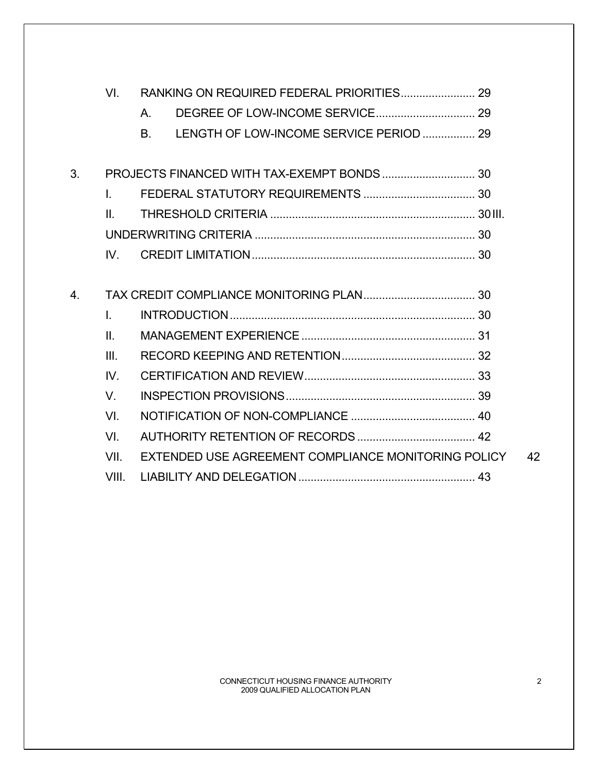|    | VI.             |           |                                                     |    |
|----|-----------------|-----------|-----------------------------------------------------|----|
|    |                 | A         |                                                     |    |
|    |                 | <b>B.</b> | LENGTH OF LOW-INCOME SERVICE PERIOD  29             |    |
|    |                 |           |                                                     |    |
| 3. |                 |           |                                                     |    |
|    | $\mathbf{L}$    |           |                                                     |    |
|    | $\mathbf{II}$ . |           |                                                     |    |
|    |                 |           |                                                     |    |
|    | IV.             |           |                                                     |    |
|    |                 |           |                                                     |    |
| 4. |                 |           |                                                     |    |
|    | L.              |           |                                                     |    |
|    | $\mathbf{II}$ . |           |                                                     |    |
|    | III.            |           |                                                     |    |
|    | IV.             |           |                                                     |    |
|    | $V_{\cdot}$     |           |                                                     |    |
|    | VI.             |           |                                                     |    |
|    | VI.             |           |                                                     |    |
|    | VII.            |           | EXTENDED USE AGREEMENT COMPLIANCE MONITORING POLICY | 42 |
|    | VIII.           |           |                                                     |    |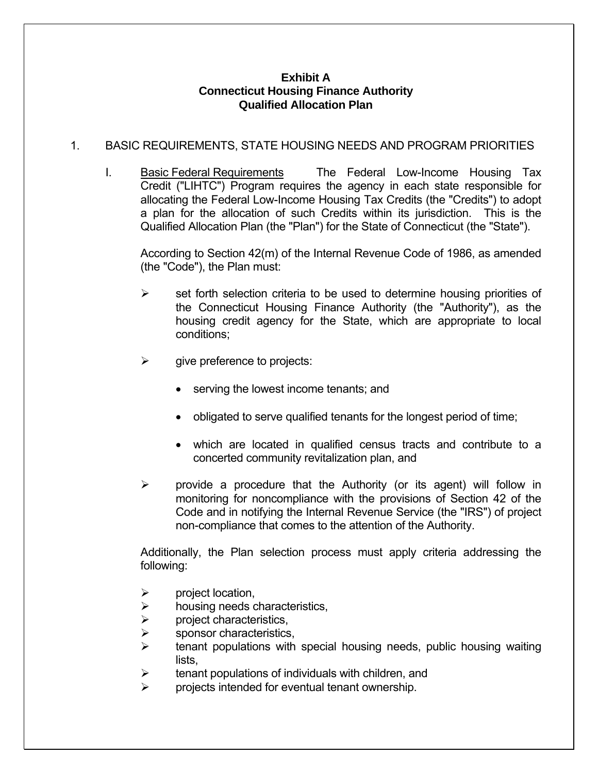## **Exhibit A Connecticut Housing Finance Authority Qualified Allocation Plan**

## 1. BASIC REQUIREMENTS, STATE HOUSING NEEDS AND PROGRAM PRIORITIES

I. Basic Federal Requirements The Federal Low-Income Housing Tax Credit ("LIHTC") Program requires the agency in each state responsible for allocating the Federal Low-Income Housing Tax Credits (the "Credits") to adopt a plan for the allocation of such Credits within its jurisdiction. This is the Qualified Allocation Plan (the "Plan") for the State of Connecticut (the "State").

 According to Section 42(m) of the Internal Revenue Code of 1986, as amended (the "Code"), the Plan must:

- $\triangleright$  set forth selection criteria to be used to determine housing priorities of the Connecticut Housing Finance Authority (the "Authority"), as the housing credit agency for the State, which are appropriate to local conditions;
- $\triangleright$  give preference to projects:
	- serving the lowest income tenants; and
	- obligated to serve qualified tenants for the longest period of time;
	- which are located in qualified census tracts and contribute to a concerted community revitalization plan, and
- $\triangleright$  provide a procedure that the Authority (or its agent) will follow in monitoring for noncompliance with the provisions of Section 42 of the Code and in notifying the Internal Revenue Service (the "IRS") of project non-compliance that comes to the attention of the Authority.

 Additionally, the Plan selection process must apply criteria addressing the following:

- $\triangleright$  project location,
- $\triangleright$  housing needs characteristics,
- $\triangleright$  project characteristics,
- $\triangleright$  sponsor characteristics,
- $\triangleright$  tenant populations with special housing needs, public housing waiting lists,
- tenant populations of individuals with children, and
- $\triangleright$  projects intended for eventual tenant ownership.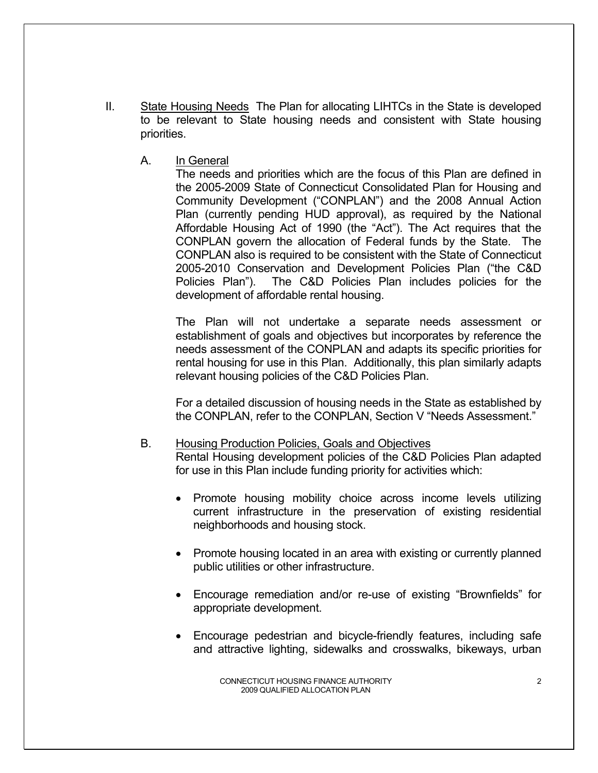- II. State Housing Needs The Plan for allocating LIHTCs in the State is developed to be relevant to State housing needs and consistent with State housing priorities.
	- A. In General

 The needs and priorities which are the focus of this Plan are defined in the 2005-2009 State of Connecticut Consolidated Plan for Housing and Community Development ("CONPLAN") and the 2008 Annual Action Plan (currently pending HUD approval), as required by the National Affordable Housing Act of 1990 (the "Act"). The Act requires that the CONPLAN govern the allocation of Federal funds by the State. The CONPLAN also is required to be consistent with the State of Connecticut 2005-2010 Conservation and Development Policies Plan ("the C&D Policies Plan"). The C&D Policies Plan includes policies for the development of affordable rental housing.

 The Plan will not undertake a separate needs assessment or establishment of goals and objectives but incorporates by reference the needs assessment of the CONPLAN and adapts its specific priorities for rental housing for use in this Plan. Additionally, this plan similarly adapts relevant housing policies of the C&D Policies Plan.

 For a detailed discussion of housing needs in the State as established by the CONPLAN, refer to the CONPLAN, Section V "Needs Assessment."

#### B. Housing Production Policies, Goals and Objectives

 Rental Housing development policies of the C&D Policies Plan adapted for use in this Plan include funding priority for activities which:

- Promote housing mobility choice across income levels utilizing current infrastructure in the preservation of existing residential neighborhoods and housing stock.
- Promote housing located in an area with existing or currently planned public utilities or other infrastructure.
- Encourage remediation and/or re-use of existing "Brownfields" for appropriate development.
- Encourage pedestrian and bicycle-friendly features, including safe and attractive lighting, sidewalks and crosswalks, bikeways, urban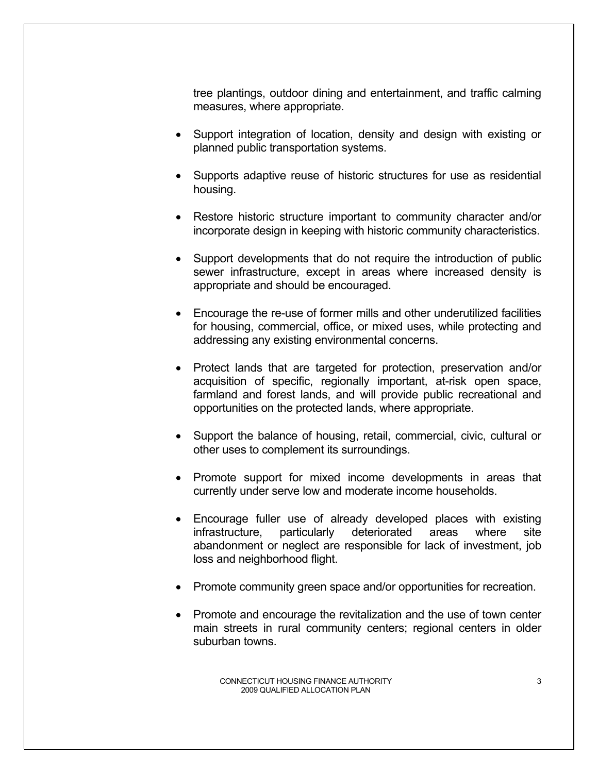tree plantings, outdoor dining and entertainment, and traffic calming measures, where appropriate.

- Support integration of location, density and design with existing or planned public transportation systems.
- Supports adaptive reuse of historic structures for use as residential housing.
- Restore historic structure important to community character and/or incorporate design in keeping with historic community characteristics.
- Support developments that do not require the introduction of public sewer infrastructure, except in areas where increased density is appropriate and should be encouraged.
- Encourage the re-use of former mills and other underutilized facilities for housing, commercial, office, or mixed uses, while protecting and addressing any existing environmental concerns.
- Protect lands that are targeted for protection, preservation and/or acquisition of specific, regionally important, at-risk open space, farmland and forest lands, and will provide public recreational and opportunities on the protected lands, where appropriate.
- Support the balance of housing, retail, commercial, civic, cultural or other uses to complement its surroundings.
- Promote support for mixed income developments in areas that currently under serve low and moderate income households.
- Encourage fuller use of already developed places with existing infrastructure, particularly deteriorated areas where site abandonment or neglect are responsible for lack of investment, job loss and neighborhood flight.
- Promote community green space and/or opportunities for recreation.
- Promote and encourage the revitalization and the use of town center main streets in rural community centers; regional centers in older suburban towns.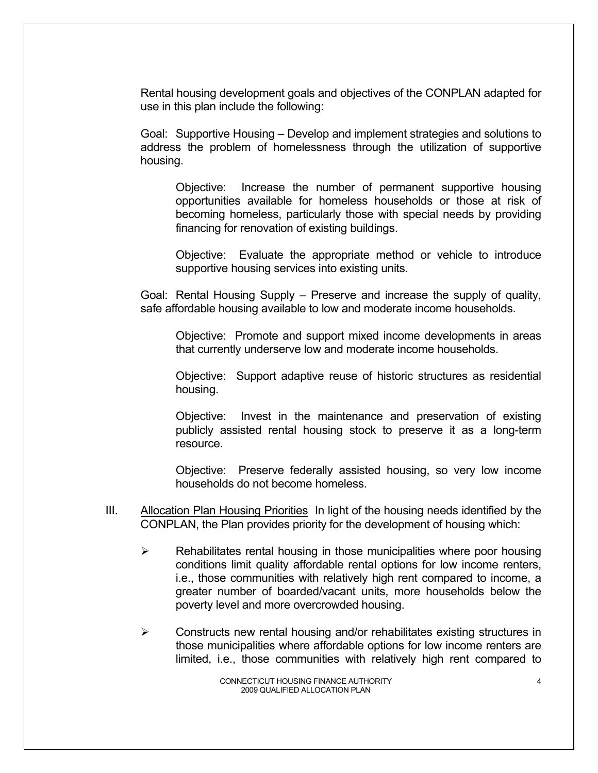Rental housing development goals and objectives of the CONPLAN adapted for use in this plan include the following:

Goal: Supportive Housing – Develop and implement strategies and solutions to address the problem of homelessness through the utilization of supportive housing.

Objective: Increase the number of permanent supportive housing opportunities available for homeless households or those at risk of becoming homeless, particularly those with special needs by providing financing for renovation of existing buildings.

Objective: Evaluate the appropriate method or vehicle to introduce supportive housing services into existing units.

Goal: Rental Housing Supply – Preserve and increase the supply of quality, safe affordable housing available to low and moderate income households.

Objective: Promote and support mixed income developments in areas that currently underserve low and moderate income households.

 Objective: Support adaptive reuse of historic structures as residential housing.

 Objective: Invest in the maintenance and preservation of existing publicly assisted rental housing stock to preserve it as a long-term resource.

 Objective: Preserve federally assisted housing, so very low income households do not become homeless.

- III. Allocation Plan Housing Priorities In light of the housing needs identified by the CONPLAN, the Plan provides priority for the development of housing which:
	- $\triangleright$  Rehabilitates rental housing in those municipalities where poor housing conditions limit quality affordable rental options for low income renters, i.e., those communities with relatively high rent compared to income, a greater number of boarded/vacant units, more households below the poverty level and more overcrowded housing.
	- $\triangleright$  Constructs new rental housing and/or rehabilitates existing structures in those municipalities where affordable options for low income renters are limited, i.e., those communities with relatively high rent compared to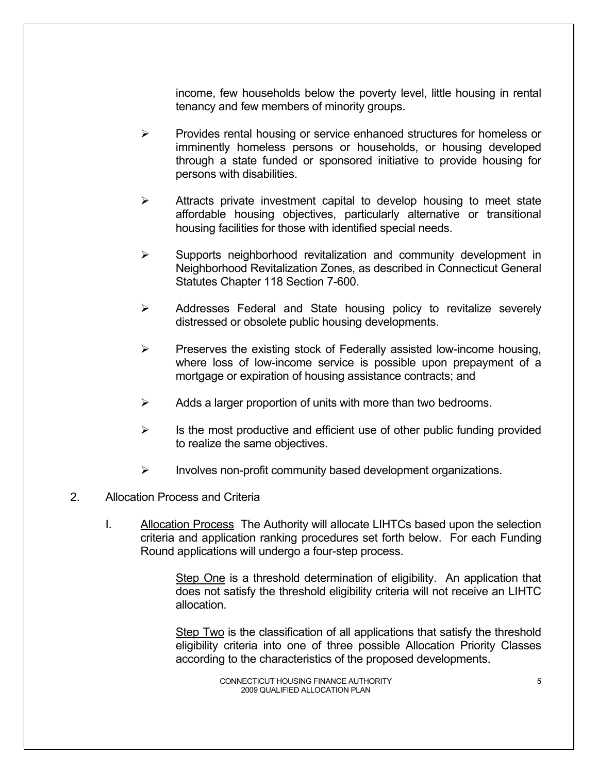income, few households below the poverty level, little housing in rental tenancy and few members of minority groups.

- ¾ Provides rental housing or service enhanced structures for homeless or imminently homeless persons or households, or housing developed through a state funded or sponsored initiative to provide housing for persons with disabilities.
- $\triangleright$  Attracts private investment capital to develop housing to meet state affordable housing objectives, particularly alternative or transitional housing facilities for those with identified special needs.
- $\triangleright$  Supports neighborhood revitalization and community development in Neighborhood Revitalization Zones, as described in Connecticut General Statutes Chapter 118 Section 7-600.
- ¾ Addresses Federal and State housing policy to revitalize severely distressed or obsolete public housing developments.
- ¾ Preserves the existing stock of Federally assisted low-income housing, where loss of low-income service is possible upon prepayment of a mortgage or expiration of housing assistance contracts; and
- $\triangleright$  Adds a larger proportion of units with more than two bedrooms.
- $\triangleright$  Is the most productive and efficient use of other public funding provided to realize the same objectives.
- ¾ Involves non-profit community based development organizations.
- 2. Allocation Process and Criteria
	- I. Allocation Process The Authority will allocate LIHTCs based upon the selection criteria and application ranking procedures set forth below. For each Funding Round applications will undergo a four-step process.

Step One is a threshold determination of eligibility. An application that does not satisfy the threshold eligibility criteria will not receive an LIHTC allocation.

 Step Two is the classification of all applications that satisfy the threshold eligibility criteria into one of three possible Allocation Priority Classes according to the characteristics of the proposed developments.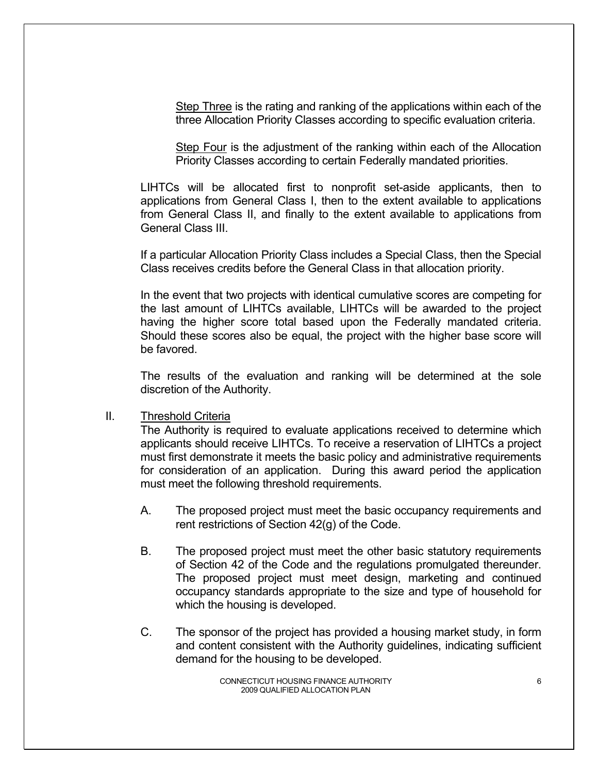Step Three is the rating and ranking of the applications within each of the three Allocation Priority Classes according to specific evaluation criteria.

 Step Four is the adjustment of the ranking within each of the Allocation Priority Classes according to certain Federally mandated priorities.

LIHTCs will be allocated first to nonprofit set-aside applicants, then to applications from General Class I, then to the extent available to applications from General Class II, and finally to the extent available to applications from General Class III.

 If a particular Allocation Priority Class includes a Special Class, then the Special Class receives credits before the General Class in that allocation priority.

 In the event that two projects with identical cumulative scores are competing for the last amount of LIHTCs available, LIHTCs will be awarded to the project having the higher score total based upon the Federally mandated criteria. Should these scores also be equal, the project with the higher base score will be favored.

 The results of the evaluation and ranking will be determined at the sole discretion of the Authority.

II. Threshold Criteria

 The Authority is required to evaluate applications received to determine which applicants should receive LIHTCs. To receive a reservation of LIHTCs a project must first demonstrate it meets the basic policy and administrative requirements for consideration of an application. During this award period the application must meet the following threshold requirements.

- A. The proposed project must meet the basic occupancy requirements and rent restrictions of Section 42(g) of the Code.
- B. The proposed project must meet the other basic statutory requirements of Section 42 of the Code and the regulations promulgated thereunder. The proposed project must meet design, marketing and continued occupancy standards appropriate to the size and type of household for which the housing is developed.
- C. The sponsor of the project has provided a housing market study, in form and content consistent with the Authority guidelines, indicating sufficient demand for the housing to be developed.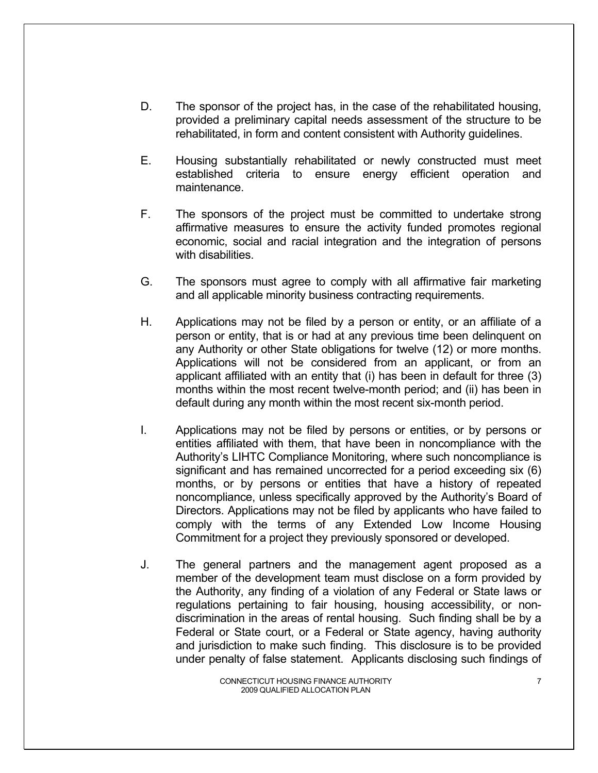- D. The sponsor of the project has, in the case of the rehabilitated housing, provided a preliminary capital needs assessment of the structure to be rehabilitated, in form and content consistent with Authority guidelines.
- E. Housing substantially rehabilitated or newly constructed must meet established criteria to ensure energy efficient operation and maintenance.
- F. The sponsors of the project must be committed to undertake strong affirmative measures to ensure the activity funded promotes regional economic, social and racial integration and the integration of persons with disabilities.
- G. The sponsors must agree to comply with all affirmative fair marketing and all applicable minority business contracting requirements.
- H. Applications may not be filed by a person or entity, or an affiliate of a person or entity, that is or had at any previous time been delinquent on any Authority or other State obligations for twelve (12) or more months. Applications will not be considered from an applicant, or from an applicant affiliated with an entity that (i) has been in default for three (3) months within the most recent twelve-month period; and (ii) has been in default during any month within the most recent six-month period.
- I. Applications may not be filed by persons or entities, or by persons or entities affiliated with them, that have been in noncompliance with the Authority's LIHTC Compliance Monitoring, where such noncompliance is significant and has remained uncorrected for a period exceeding six (6) months, or by persons or entities that have a history of repeated noncompliance, unless specifically approved by the Authority's Board of Directors. Applications may not be filed by applicants who have failed to comply with the terms of any Extended Low Income Housing Commitment for a project they previously sponsored or developed.
- J. The general partners and the management agent proposed as a member of the development team must disclose on a form provided by the Authority, any finding of a violation of any Federal or State laws or regulations pertaining to fair housing, housing accessibility, or nondiscrimination in the areas of rental housing. Such finding shall be by a Federal or State court, or a Federal or State agency, having authority and jurisdiction to make such finding. This disclosure is to be provided under penalty of false statement. Applicants disclosing such findings of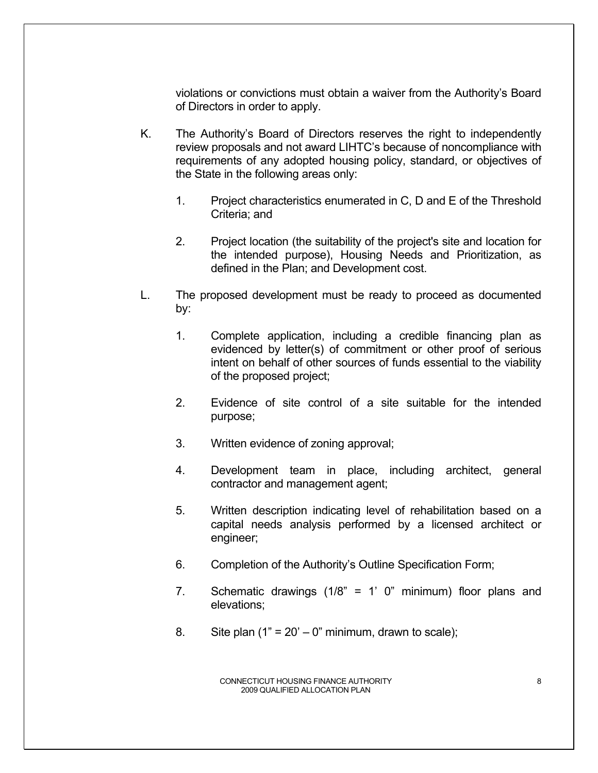violations or convictions must obtain a waiver from the Authority's Board of Directors in order to apply.

- K. The Authority's Board of Directors reserves the right to independently review proposals and not award LIHTC's because of noncompliance with requirements of any adopted housing policy, standard, or objectives of the State in the following areas only:
	- 1. Project characteristics enumerated in C, D and E of the Threshold Criteria; and
	- 2. Project location (the suitability of the project's site and location for the intended purpose), Housing Needs and Prioritization, as defined in the Plan; and Development cost.
- L. The proposed development must be ready to proceed as documented by:
	- 1. Complete application, including a credible financing plan as evidenced by letter(s) of commitment or other proof of serious intent on behalf of other sources of funds essential to the viability of the proposed project;
	- 2. Evidence of site control of a site suitable for the intended purpose;
	- 3. Written evidence of zoning approval;
	- 4. Development team in place, including architect, general contractor and management agent;
	- 5. Written description indicating level of rehabilitation based on a capital needs analysis performed by a licensed architect or engineer;
	- 6. Completion of the Authority's Outline Specification Form;
	- 7. Schematic drawings (1/8" = 1' 0" minimum) floor plans and elevations;
	- 8. Site plan  $(1" = 20' 0"$  minimum, drawn to scale);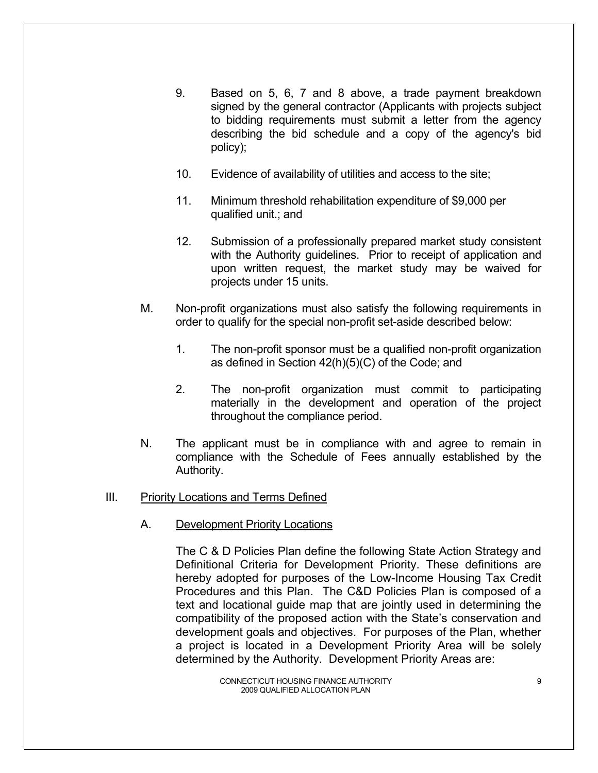- 9. Based on 5, 6, 7 and 8 above, a trade payment breakdown signed by the general contractor (Applicants with projects subject to bidding requirements must submit a letter from the agency describing the bid schedule and a copy of the agency's bid policy);
- 10. Evidence of availability of utilities and access to the site;
- 11. Minimum threshold rehabilitation expenditure of \$9,000 per qualified unit.; and
- 12. Submission of a professionally prepared market study consistent with the Authority guidelines. Prior to receipt of application and upon written request, the market study may be waived for projects under 15 units.
- M. Non-profit organizations must also satisfy the following requirements in order to qualify for the special non-profit set-aside described below:
	- 1. The non-profit sponsor must be a qualified non-profit organization as defined in Section 42(h)(5)(C) of the Code; and
	- 2. The non-profit organization must commit to participating materially in the development and operation of the project throughout the compliance period.
- N. The applicant must be in compliance with and agree to remain in compliance with the Schedule of Fees annually established by the Authority.

#### III. Priority Locations and Terms Defined

#### A. Development Priority Locations

The C & D Policies Plan define the following State Action Strategy and Definitional Criteria for Development Priority. These definitions are hereby adopted for purposes of the Low-Income Housing Tax Credit Procedures and this Plan. The C&D Policies Plan is composed of a text and locational guide map that are jointly used in determining the compatibility of the proposed action with the State's conservation and development goals and objectives. For purposes of the Plan, whether a project is located in a Development Priority Area will be solely determined by the Authority. Development Priority Areas are: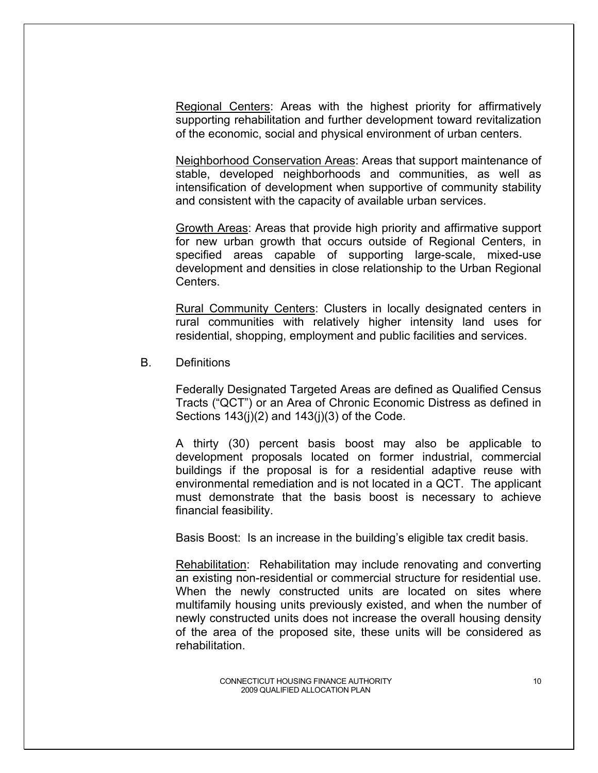Regional Centers: Areas with the highest priority for affirmatively supporting rehabilitation and further development toward revitalization of the economic, social and physical environment of urban centers.

Neighborhood Conservation Areas: Areas that support maintenance of stable, developed neighborhoods and communities, as well as intensification of development when supportive of community stability and consistent with the capacity of available urban services.

Growth Areas: Areas that provide high priority and affirmative support for new urban growth that occurs outside of Regional Centers, in specified areas capable of supporting large-scale, mixed-use development and densities in close relationship to the Urban Regional **Centers** 

Rural Community Centers: Clusters in locally designated centers in rural communities with relatively higher intensity land uses for residential, shopping, employment and public facilities and services.

B. Definitions

Federally Designated Targeted Areas are defined as Qualified Census Tracts ("QCT") or an Area of Chronic Economic Distress as defined in Sections  $143(j)(2)$  and  $143(j)(3)$  of the Code.

A thirty (30) percent basis boost may also be applicable to development proposals located on former industrial, commercial buildings if the proposal is for a residential adaptive reuse with environmental remediation and is not located in a QCT. The applicant must demonstrate that the basis boost is necessary to achieve financial feasibility.

Basis Boost: Is an increase in the building's eligible tax credit basis.

Rehabilitation: Rehabilitation may include renovating and converting an existing non-residential or commercial structure for residential use. When the newly constructed units are located on sites where multifamily housing units previously existed, and when the number of newly constructed units does not increase the overall housing density of the area of the proposed site, these units will be considered as rehabilitation.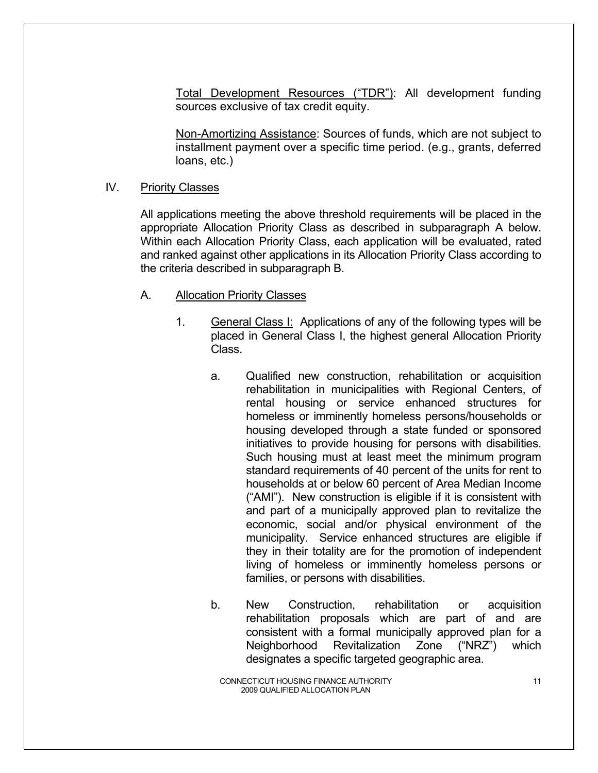Total Development Resources ("TDR"): All development funding sources exclusive of tax credit equity.

Non-Amortizing Assistance: Sources of funds, which are not subject to installment payment over a specific time period. (e.g., grants, deferred loans, etc.)

### IV. Priority Classes

All applications meeting the above threshold requirements will be placed in the appropriate Allocation Priority Class as described in subparagraph A below. Within each Allocation Priority Class, each application will be evaluated, rated and ranked against other applications in its Allocation Priority Class according to the criteria described in subparagraph B.

## A. Allocation Priority Classes

- 1. General Class I: Applications of any of the following types will be placed in General Class I, the highest general Allocation Priority Class.
	- a. Qualified new construction, rehabilitation or acquisition rehabilitation in municipalities with Regional Centers, of rental housing or service enhanced structures for homeless or imminently homeless persons/households or housing developed through a state funded or sponsored initiatives to provide housing for persons with disabilities. Such housing must at least meet the minimum program standard requirements of 40 percent of the units for rent to households at or below 60 percent of Area Median Income ("AMI"). New construction is eligible if it is consistent with and part of a municipally approved plan to revitalize the economic, social and/or physical environment of the municipality. Service enhanced structures are eligible if they in their totality are for the promotion of independent living of homeless or imminently homeless persons or families, or persons with disabilities.
	- b. New Construction, rehabilitation or acquisition rehabilitation proposals which are part of and are consistent with a formal municipally approved plan for a Neighborhood Revitalization Zone ("NRZ") which designates a specific targeted geographic area.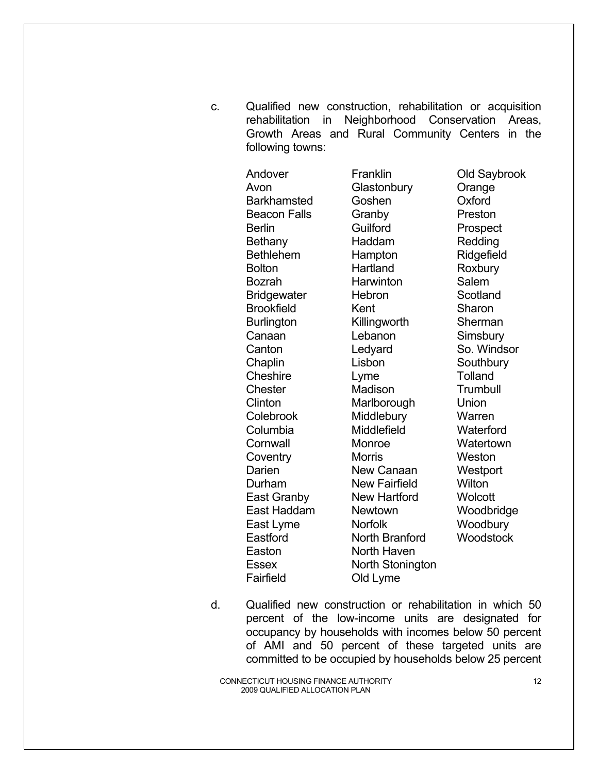c. Qualified new construction, rehabilitation or acquisition rehabilitation in Neighborhood Conservation Areas, Growth Areas and Rural Community Centers in the following towns:

| Andover             | Franklin             | <b>Old Saybrook</b> |
|---------------------|----------------------|---------------------|
| Avon                | Glastonbury          | Orange              |
| <b>Barkhamsted</b>  | Goshen               | Oxford              |
| <b>Beacon Falls</b> | Granby               | Preston             |
| <b>Berlin</b>       | Guilford             | Prospect            |
| Bethany             | Haddam               | Redding             |
| <b>Bethlehem</b>    | Hampton              | Ridgefield          |
| <b>Bolton</b>       | Hartland             | Roxbury             |
| <b>Bozrah</b>       | Harwinton            | Salem               |
| <b>Bridgewater</b>  | Hebron               | Scotland            |
| <b>Brookfield</b>   | Kent                 | Sharon              |
| <b>Burlington</b>   | Killingworth         | Sherman             |
| Canaan              | Lebanon              | Simsbury            |
| Canton              | Ledyard              | So. Windsor         |
| Chaplin             | Lisbon               | Southbury           |
| Cheshire            | Lyme                 | <b>Tolland</b>      |
| Chester             | Madison              | Trumbull            |
| Clinton             | Marlborough          | Union               |
| Colebrook           | Middlebury           | Warren              |
| Columbia            | Middlefield          | Waterford           |
| Cornwall            | Monroe               | Watertown           |
| Coventry            | <b>Morris</b>        | Weston              |
| Darien              | New Canaan           | Westport            |
| Durham              | <b>New Fairfield</b> | Wilton              |
| <b>East Granby</b>  | <b>New Hartford</b>  | Wolcott             |
| East Haddam         | <b>Newtown</b>       | Woodbridge          |
| East Lyme           | <b>Norfolk</b>       | Woodbury            |
| Eastford            | North Branford       | Woodstock           |
| Easton              | North Haven          |                     |
| <b>Essex</b>        | North Stonington     |                     |
| Fairfield           | Old Lyme             |                     |

d. Qualified new construction or rehabilitation in which 50 percent of the low-income units are designated for occupancy by households with incomes below 50 percent of AMI and 50 percent of these targeted units are committed to be occupied by households below 25 percent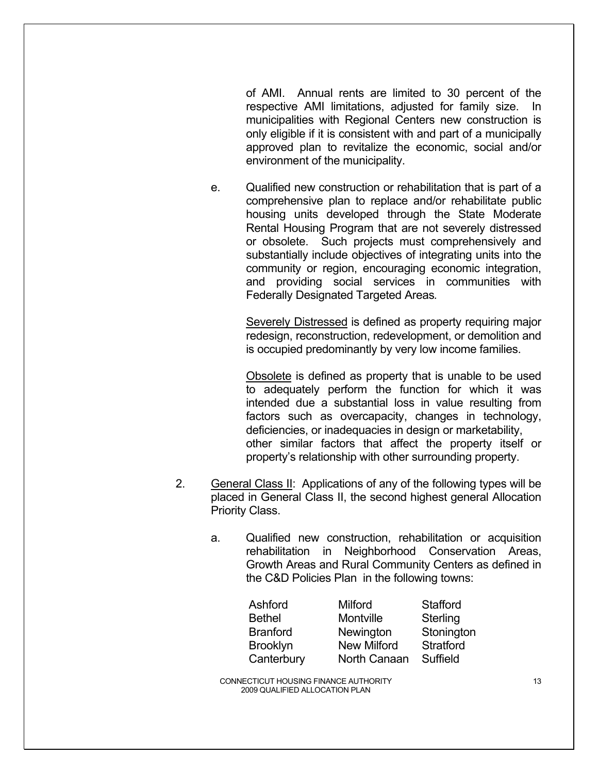of AMI. Annual rents are limited to 30 percent of the respective AMI limitations, adjusted for family size. In municipalities with Regional Centers new construction is only eligible if it is consistent with and part of a municipally approved plan to revitalize the economic, social and/or environment of the municipality.

e. Qualified new construction or rehabilitation that is part of a comprehensive plan to replace and/or rehabilitate public housing units developed through the State Moderate Rental Housing Program that are not severely distressed or obsolete. Such projects must comprehensively and substantially include objectives of integrating units into the community or region, encouraging economic integration, and providing social services in communities with Federally Designated Targeted Areas*.*

> Severely Distressed is defined as property requiring major redesign, reconstruction, redevelopment, or demolition and is occupied predominantly by very low income families.

> Obsolete is defined as property that is unable to be used to adequately perform the function for which it was intended due a substantial loss in value resulting from factors such as overcapacity, changes in technology, deficiencies, or inadequacies in design or marketability, other similar factors that affect the property itself or property's relationship with other surrounding property.

- 2. General Class II: Applications of any of the following types will be placed in General Class II, the second highest general Allocation Priority Class.
	- a. Qualified new construction, rehabilitation or acquisition rehabilitation in Neighborhood Conservation Areas, Growth Areas and Rural Community Centers as defined in the C&D Policies Plan in the following towns:

| Ashford         | Milford          | <b>Stafford</b> |
|-----------------|------------------|-----------------|
| <b>Bethel</b>   | <b>Montville</b> | Sterling        |
| <b>Branford</b> | Newington        | Stonington      |
| <b>Brooklyn</b> | New Milford      | Stratford       |
| Canterbury      | North Canaan     | Suffield        |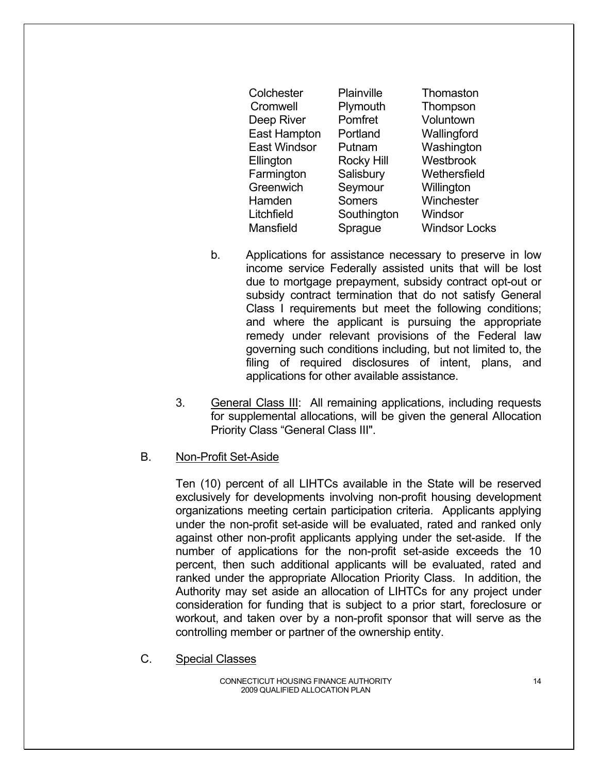| Colchester   | <b>Plainville</b> | Thomaston            |
|--------------|-------------------|----------------------|
| Cromwell     | Plymouth          | Thompson             |
| Deep River   | Pomfret           | Voluntown            |
| East Hampton | Portland          | Wallingford          |
| East Windsor | Putnam            | Washington           |
| Ellington    | Rocky Hill        | Westbrook            |
| Farmington   | Salisbury         | Wethersfield         |
| Greenwich    | Seymour           | Willington           |
| Hamden       | <b>Somers</b>     | Winchester           |
| Litchfield   | Southington       | Windsor              |
| Mansfield    | Sprague           | <b>Windsor Locks</b> |
|              |                   |                      |

- b. Applications for assistance necessary to preserve in low income service Federally assisted units that will be lost due to mortgage prepayment, subsidy contract opt-out or subsidy contract termination that do not satisfy General Class I requirements but meet the following conditions; and where the applicant is pursuing the appropriate remedy under relevant provisions of the Federal law governing such conditions including, but not limited to, the filing of required disclosures of intent, plans, and applications for other available assistance.
- 3. General Class III: All remaining applications, including requests for supplemental allocations, will be given the general Allocation Priority Class "General Class III".

#### B. Non-Profit Set-Aside

Ten (10) percent of all LIHTCs available in the State will be reserved exclusively for developments involving non-profit housing development organizations meeting certain participation criteria. Applicants applying under the non-profit set-aside will be evaluated, rated and ranked only against other non-profit applicants applying under the set-aside. If the number of applications for the non-profit set-aside exceeds the 10 percent, then such additional applicants will be evaluated, rated and ranked under the appropriate Allocation Priority Class. In addition, the Authority may set aside an allocation of LIHTCs for any project under consideration for funding that is subject to a prior start, foreclosure or workout, and taken over by a non-profit sponsor that will serve as the controlling member or partner of the ownership entity.

C. Special Classes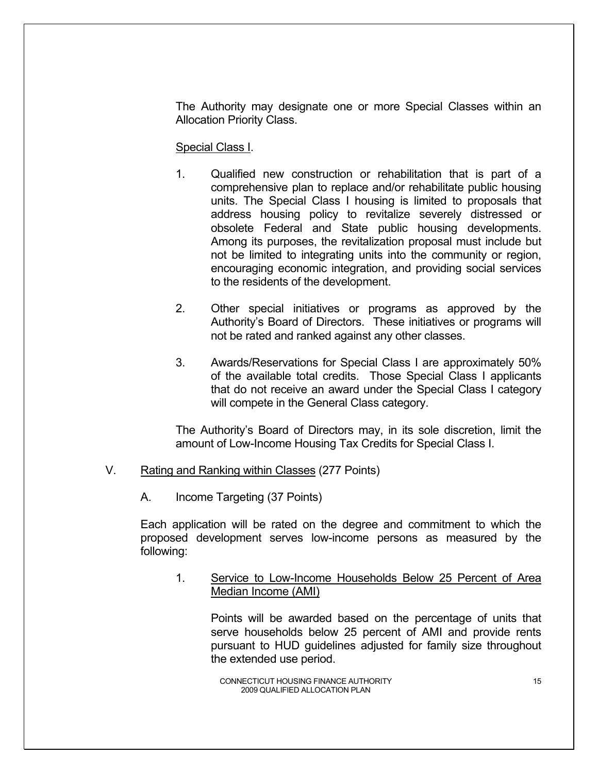The Authority may designate one or more Special Classes within an Allocation Priority Class.

#### Special Class I.

- 1. Qualified new construction or rehabilitation that is part of a comprehensive plan to replace and/or rehabilitate public housing units. The Special Class I housing is limited to proposals that address housing policy to revitalize severely distressed or obsolete Federal and State public housing developments. Among its purposes, the revitalization proposal must include but not be limited to integrating units into the community or region, encouraging economic integration, and providing social services to the residents of the development.
- 2. Other special initiatives or programs as approved by the Authority's Board of Directors. These initiatives or programs will not be rated and ranked against any other classes.
- 3. Awards/Reservations for Special Class I are approximately 50% of the available total credits. Those Special Class I applicants that do not receive an award under the Special Class I category will compete in the General Class category.

The Authority's Board of Directors may, in its sole discretion, limit the amount of Low-Income Housing Tax Credits for Special Class I.

## V. Rating and Ranking within Classes (277 Points)

A. Income Targeting (37 Points)

Each application will be rated on the degree and commitment to which the proposed development serves low-income persons as measured by the following:

1. Service to Low-Income Households Below 25 Percent of Area Median Income (AMI)

Points will be awarded based on the percentage of units that serve households below 25 percent of AMI and provide rents pursuant to HUD guidelines adjusted for family size throughout the extended use period.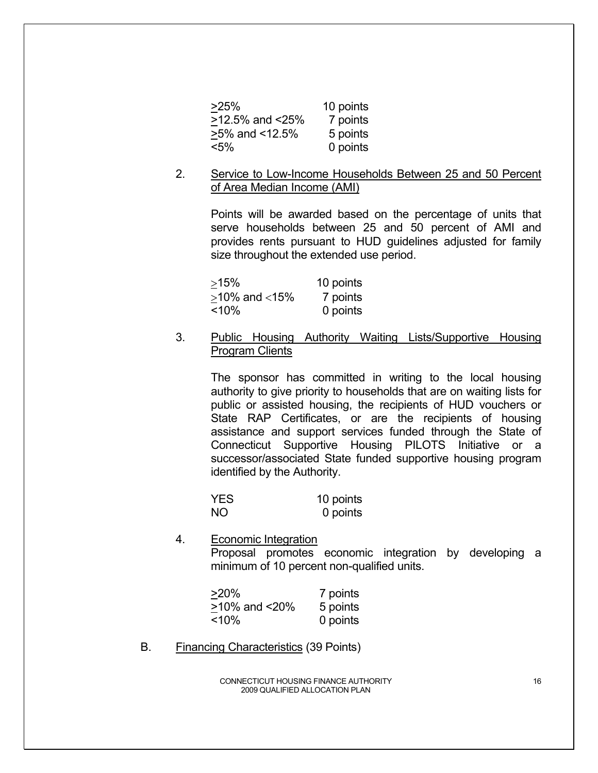| >25%                  | 10 points |
|-----------------------|-----------|
| $>12.5\%$ and $<25\%$ | 7 points  |
| >5% and <12.5%        | 5 points  |
| $< 5\%$               | 0 points  |

2. Service to Low-Income Households Between 25 and 50 Percent of Area Median Income (AMI)

Points will be awarded based on the percentage of units that serve households between 25 and 50 percent of AMI and provides rents pursuant to HUD guidelines adjusted for family size throughout the extended use period.

| >15%                | 10 points |
|---------------------|-----------|
| $>10\%$ and $<15\%$ | 7 points  |
| $< 10\%$            | 0 points  |

3. Public Housing Authority Waiting Lists/Supportive Housing Program Clients

> The sponsor has committed in writing to the local housing authority to give priority to households that are on waiting lists for public or assisted housing, the recipients of HUD vouchers or State RAP Certificates, or are the recipients of housing assistance and support services funded through the State of Connecticut Supportive Housing PILOTS Initiative or a successor/associated State funded supportive housing program identified by the Authority.

| <b>YES</b> | 10 points |
|------------|-----------|
| NO.        | 0 points  |

4. Economic Integration Proposal promotes economic integration by developing a minimum of 10 percent non-qualified units.

| $>20\%$             | 7 points |
|---------------------|----------|
| $>10\%$ and $<20\%$ | 5 points |
| $~10\%$             | 0 points |

B. Financing Characteristics (39 Points)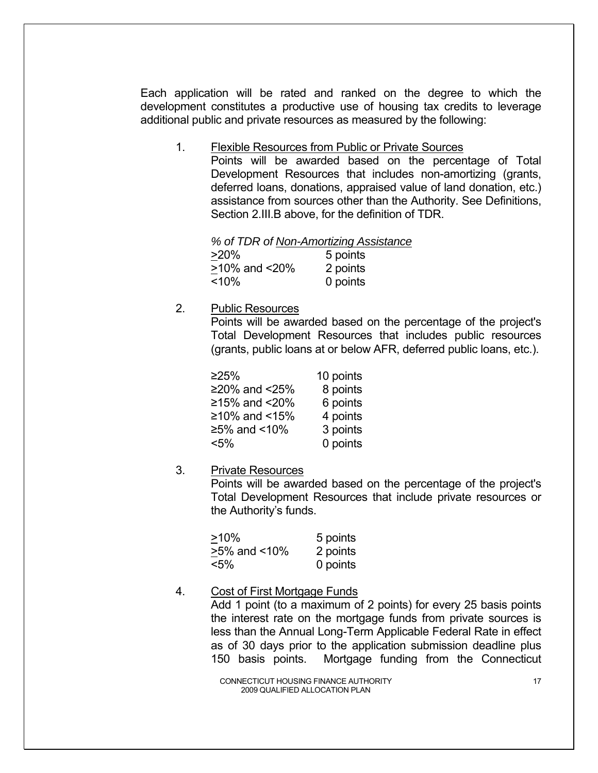Each application will be rated and ranked on the degree to which the development constitutes a productive use of housing tax credits to leverage additional public and private resources as measured by the following:

## 1. Flexible Resources from Public or Private Sources

 Points will be awarded based on the percentage of Total Development Resources that includes non-amortizing (grants, deferred loans, donations, appraised value of land donation, etc.) assistance from sources other than the Authority. See Definitions, Section 2.III.B above, for the definition of TDR.

 *% of TDR of Non-Amortizing Assistance* >20% 5 points >10% and <20% 2 points <10% 0 points

#### 2. Public Resources

Points will be awarded based on the percentage of the project's Total Development Resources that includes public resources (grants, public loans at or below AFR, deferred public loans, etc.).

| ≥25%          | 10 points |
|---------------|-----------|
| ≥20% and <25% | 8 points  |
| ≥15% and <20% | 6 points  |
| ≥10% and <15% | 4 points  |
| ≥5% and <10%  | 3 points  |
| $< 5\%$       | 0 points  |

#### 3. Private Resources

Points will be awarded based on the percentage of the project's Total Development Resources that include private resources or the Authority's funds.

| $>10\%$ | 5 points                       |
|---------|--------------------------------|
|         | $>5\%$ and $<10\%$<br>2 points |
| $< 5\%$ | 0 points                       |

## 4. Cost of First Mortgage Funds

Add 1 point (to a maximum of 2 points) for every 25 basis points the interest rate on the mortgage funds from private sources is less than the Annual Long-Term Applicable Federal Rate in effect as of 30 days prior to the application submission deadline plus 150 basis points. Mortgage funding from the Connecticut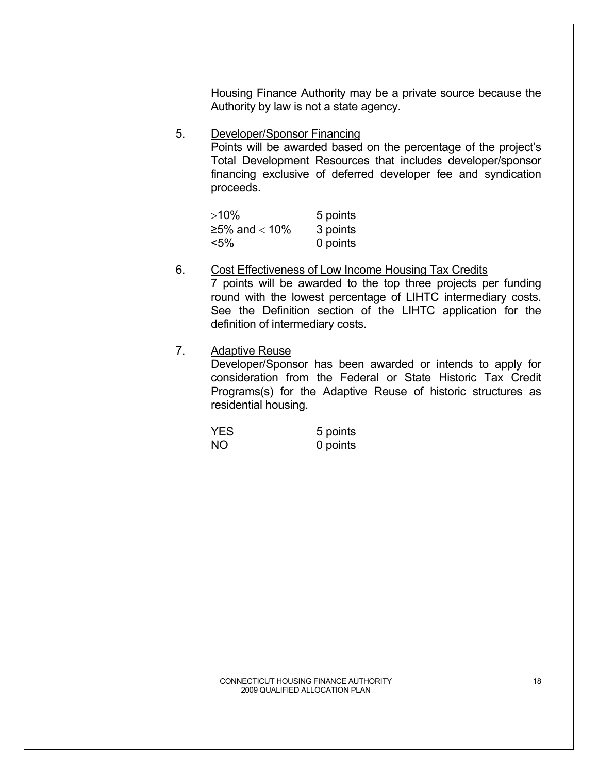Housing Finance Authority may be a private source because the Authority by law is not a state agency.

5. Developer/Sponsor Financing

Points will be awarded based on the percentage of the project's Total Development Resources that includes developer/sponsor financing exclusive of deferred developer fee and syndication proceeds.

| $>10\%$          | 5 points |
|------------------|----------|
| $≥5\%$ and < 10% | 3 points |
| $< 5\%$          | 0 points |

- 6. Cost Effectiveness of Low Income Housing Tax Credits 7 points will be awarded to the top three projects per funding round with the lowest percentage of LIHTC intermediary costs. See the Definition section of the LIHTC application for the definition of intermediary costs.
- 7. Adaptive Reuse

Developer/Sponsor has been awarded or intends to apply for consideration from the Federal or State Historic Tax Credit Programs(s) for the Adaptive Reuse of historic structures as residential housing.

| YES. | 5 points |
|------|----------|
| ΝO   | 0 points |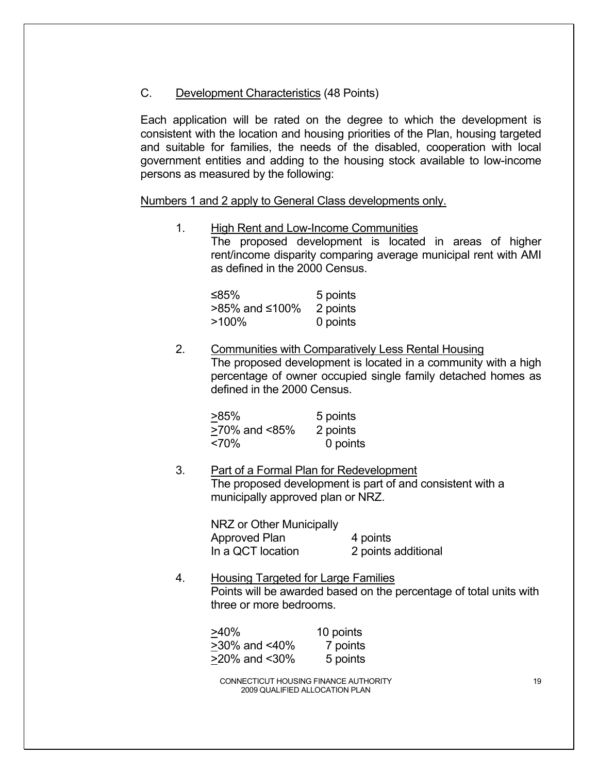## C. Development Characteristics (48 Points)

Each application will be rated on the degree to which the development is consistent with the location and housing priorities of the Plan, housing targeted and suitable for families, the needs of the disabled, cooperation with local government entities and adding to the housing stock available to low-income persons as measured by the following:

Numbers 1 and 2 apply to General Class developments only.

 1. High Rent and Low-Income Communities The proposed development is located in areas of higher rent/income disparity comparing average municipal rent with AMI as defined in the 2000 Census.

| ≤85%           | 5 points |
|----------------|----------|
| >85% and ≤100% | 2 points |
| $>100\%$       | 0 points |

2. Communities with Comparatively Less Rental Housing The proposed development is located in a community with a high percentage of owner occupied single family detached homes as defined in the 2000 Census.

| $>85\%$       | 5 points |
|---------------|----------|
| >70% and <85% | 2 points |
| $<70\%$       | 0 points |

 3. Part of a Formal Plan for Redevelopment The proposed development is part of and consistent with a municipally approved plan or NRZ.

> NRZ or Other Municipally Approved Plan 4 points In a QCT location 2 points additional

 4. Housing Targeted for Large Families Points will be awarded based on the percentage of total units with three or more bedrooms.

| $>40\%$             | 10 points |
|---------------------|-----------|
| $>30\%$ and $<40\%$ | 7 points  |
| $>20\%$ and $<30\%$ | 5 points  |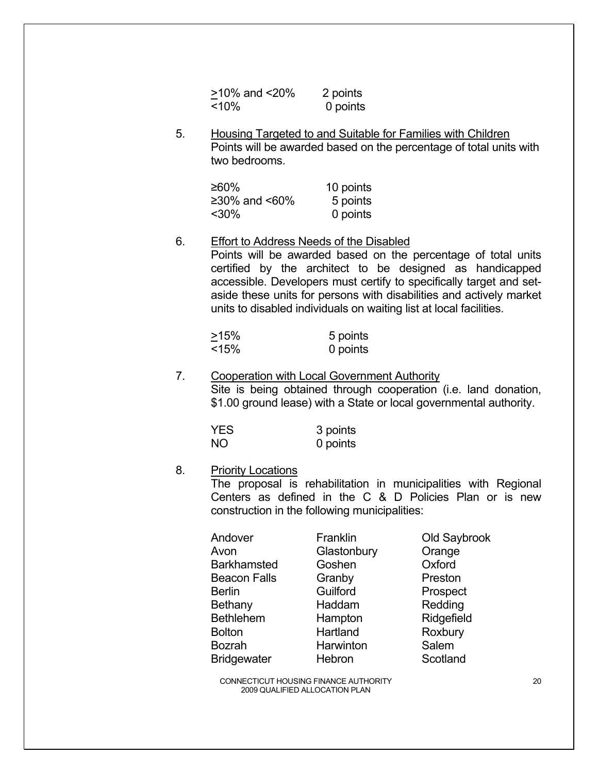| $>10\%$ and $<20\%$ | 2 points |
|---------------------|----------|
| $~10\%$             | 0 points |

5. Housing Targeted to and Suitable for Families with Children Points will be awarded based on the percentage of total units with two bedrooms.

| ≥60%             | 10 points |
|------------------|-----------|
| ≥30% and $<60\%$ | 5 points  |
| $<$ 30%          | 0 points  |

 6. Effort to Address Needs of the Disabled Points will be awarded based on the percentage of total units certified by the architect to be designed as handicapped accessible. Developers must certify to specifically target and setaside these units for persons with disabilities and actively market units to disabled individuals on waiting list at local facilities.

| >15%  | 5 points |
|-------|----------|
| < 15% | 0 points |

## 7. Cooperation with Local Government Authority Site is being obtained through cooperation (i.e. land donation, \$1.00 ground lease) with a State or local governmental authority.

| YES. | 3 points |
|------|----------|
| ΝO   | 0 points |

#### 8. Priority Locations

The proposal is rehabilitation in municipalities with Regional Centers as defined in the C & D Policies Plan or is new construction in the following municipalities:

| Andover             | Franklin    | Old Saybrook |
|---------------------|-------------|--------------|
| Avon                | Glastonbury | Orange       |
| <b>Barkhamsted</b>  | Goshen      | Oxford       |
| <b>Beacon Falls</b> | Granby      | Preston      |
| <b>Berlin</b>       | Guilford    | Prospect     |
| Bethany             | Haddam      | Redding      |
| <b>Bethlehem</b>    | Hampton     | Ridgefield   |
| <b>Bolton</b>       | Hartland    | Roxbury      |
| <b>Bozrah</b>       | Harwinton   | Salem        |
| <b>Bridgewater</b>  | Hebron      | Scotland     |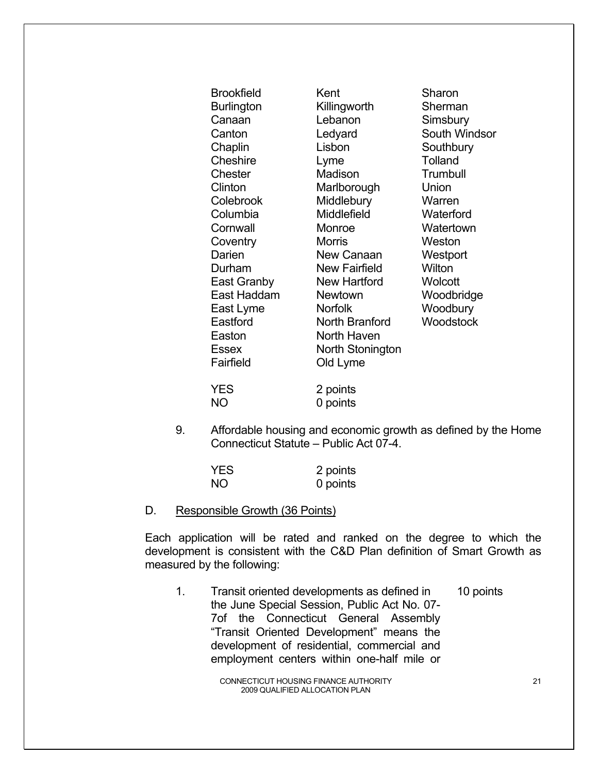| <b>Brookfield</b> | Kent             | Sharon         |
|-------------------|------------------|----------------|
| <b>Burlington</b> | Killingworth     | Sherman        |
| Canaan            | Lebanon          | Simsbury       |
| Canton            | Ledyard          | South Windsor  |
| Chaplin           | Lisbon           | Southbury      |
| Cheshire          | Lyme             | <b>Tolland</b> |
| Chester           | Madison          | Trumbull       |
| Clinton           | Marlborough      | Union          |
| Colebrook         | Middlebury       | Warren         |
| Columbia          | Middlefield      | Waterford      |
| Cornwall          | Monroe           | Watertown      |
| Coventry          | <b>Morris</b>    | Weston         |
| Darien            | New Canaan       | Westport       |
| Durham            | New Fairfield    | Wilton         |
| East Granby       | New Hartford     | Wolcott        |
| East Haddam       | Newtown          | Woodbridge     |
| East Lyme         | <b>Norfolk</b>   | Woodbury       |
| Eastford          | North Branford   | Woodstock      |
| Easton            | North Haven      |                |
| <b>Essex</b>      | North Stonington |                |
| Fairfield         | Old Lyme         |                |
| <b>YES</b>        | 2 points         |                |
| <b>NO</b>         | 0 points         |                |

 9. Affordable housing and economic growth as defined by the Home Connecticut Statute – Public Act 07-4.

| <b>YES</b> | 2 points |
|------------|----------|
| <b>NO</b>  | 0 points |

D. Responsible Growth (36 Points)

Each application will be rated and ranked on the degree to which the development is consistent with the C&D Plan definition of Smart Growth as measured by the following:

1. Transit oriented developments as defined in 10 points the June Special Session, Public Act No. 07- 7of the Connecticut General Assembly "Transit Oriented Development" means the development of residential, commercial and employment centers within one-half mile or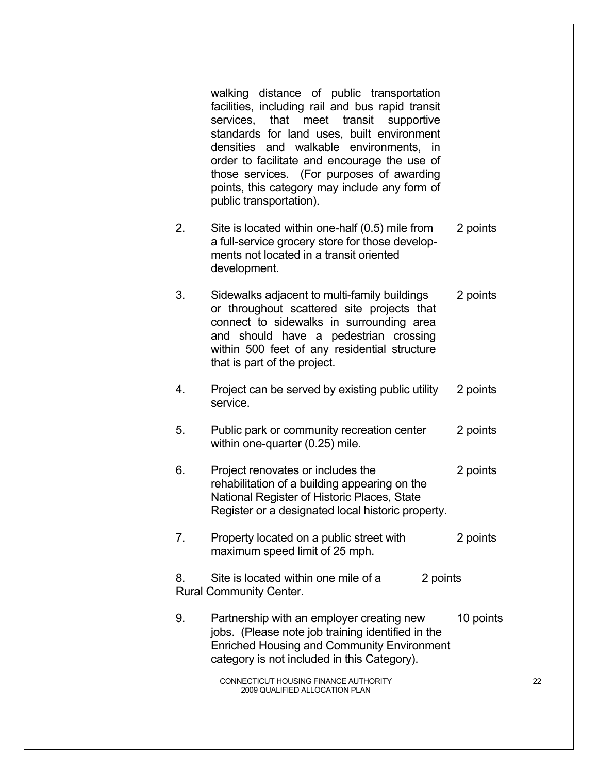walking distance of public transportation facilities, including rail and bus rapid transit services, that meet transit supportive standards for land uses, built environment densities and walkable environments, in order to facilitate and encourage the use of those services. (For purposes of awarding points, this category may include any form of public transportation).

- 2. Site is located within one-half (0.5) mile from 2 points a full-service grocery store for those developments not located in a transit oriented development.
- 3. Sidewalks adjacent to multi-family buildings 2 points or throughout scattered site projects that connect to sidewalks in surrounding area and should have a pedestrian crossing within 500 feet of any residential structure that is part of the project.
- 4. Project can be served by existing public utility 2 points service.
- 5. Public park or community recreation center 2 points within one-quarter (0.25) mile.
- 6. Project renovates or includes the 2 points rehabilitation of a building appearing on the National Register of Historic Places, State Register or a designated local historic property.
- 7. Property located on a public street with 2 points maximum speed limit of 25 mph.
- 8. Site is located within one mile of a 2 points Rural Community Center.
- 9. Partnership with an employer creating new 10 points jobs. (Please note job training identified in the Enriched Housing and Community Environment category is not included in this Category).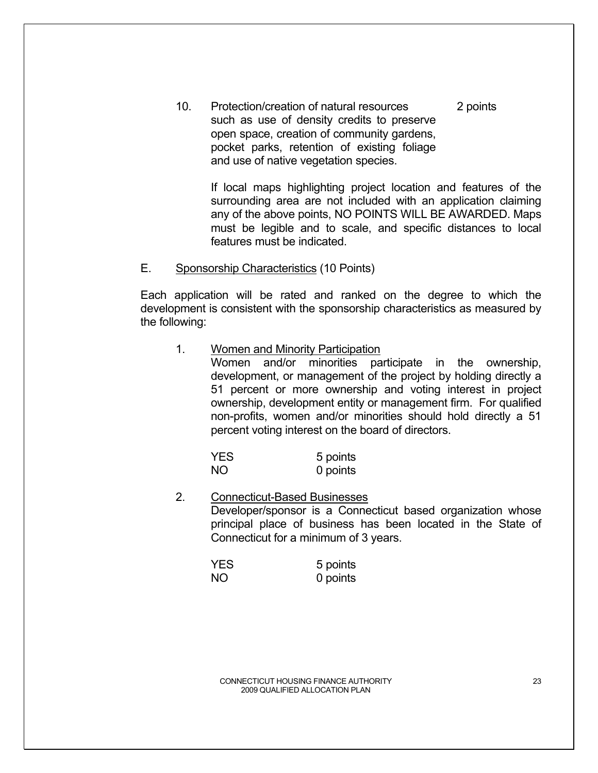10. Protection/creation of natural resources 2 points such as use of density credits to preserve open space, creation of community gardens, pocket parks, retention of existing foliage and use of native vegetation species.

> If local maps highlighting project location and features of the surrounding area are not included with an application claiming any of the above points, NO POINTS WILL BE AWARDED. Maps must be legible and to scale, and specific distances to local features must be indicated.

#### E. Sponsorship Characteristics (10 Points)

Each application will be rated and ranked on the degree to which the development is consistent with the sponsorship characteristics as measured by the following:

1. Women and Minority Participation

Women and/or minorities participate in the ownership, development, or management of the project by holding directly a 51 percent or more ownership and voting interest in project ownership, development entity or management firm. For qualified non-profits, women and/or minorities should hold directly a 51 percent voting interest on the board of directors.

| <b>YES</b> | 5 points |
|------------|----------|
| ΝO         | 0 points |

2. Connecticut-Based Businesses Developer/sponsor is a Connecticut based organization whose principal place of business has been located in the State of Connecticut for a minimum of 3 years.

| <b>YES</b> | 5 points |
|------------|----------|
| <b>NO</b>  | 0 points |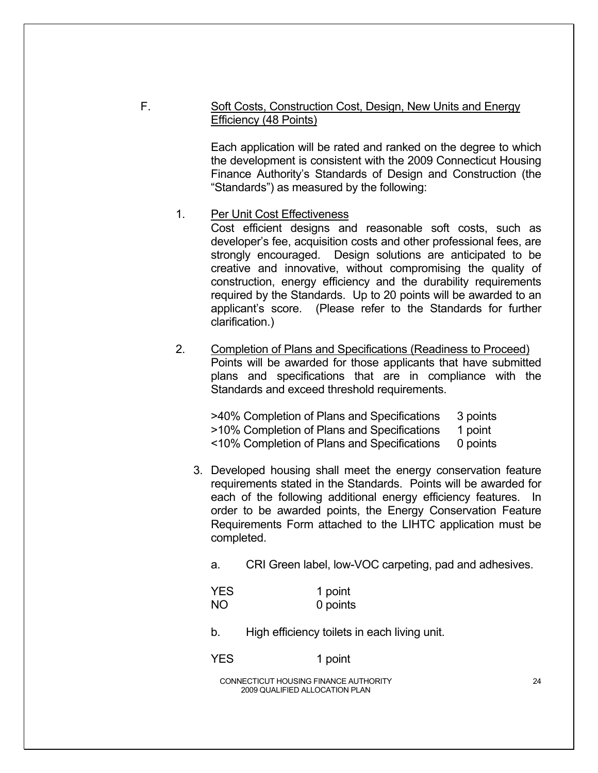## F. Soft Costs, Construction Cost, Design, New Units and Energy Efficiency (48 Points)

 Each application will be rated and ranked on the degree to which the development is consistent with the 2009 Connecticut Housing Finance Authority's Standards of Design and Construction (the "Standards") as measured by the following:

1. Per Unit Cost Effectiveness

Cost efficient designs and reasonable soft costs, such as developer's fee, acquisition costs and other professional fees, are strongly encouraged. Design solutions are anticipated to be creative and innovative, without compromising the quality of construction, energy efficiency and the durability requirements required by the Standards. Up to 20 points will be awarded to an applicant's score. (Please refer to the Standards for further clarification.)

2. Completion of Plans and Specifications (Readiness to Proceed) Points will be awarded for those applicants that have submitted plans and specifications that are in compliance with the Standards and exceed threshold requirements.

 >40% Completion of Plans and Specifications 3 points >10% Completion of Plans and Specifications 1 point <10% Completion of Plans and Specifications 0 points

- 3. Developed housing shall meet the energy conservation feature requirements stated in the Standards. Points will be awarded for each of the following additional energy efficiency features. In order to be awarded points, the Energy Conservation Feature Requirements Form attached to the LIHTC application must be completed.
	- a. CRI Green label, low-VOC carpeting, pad and adhesives.

| YES. | 1 point  |
|------|----------|
| ΝO   | 0 points |

b. High efficiency toilets in each living unit.

YES 1 point

CONNECTICUT HOUSING FINANCE AUTHORITY 2009 QUALIFIED ALLOCATION PLAN

24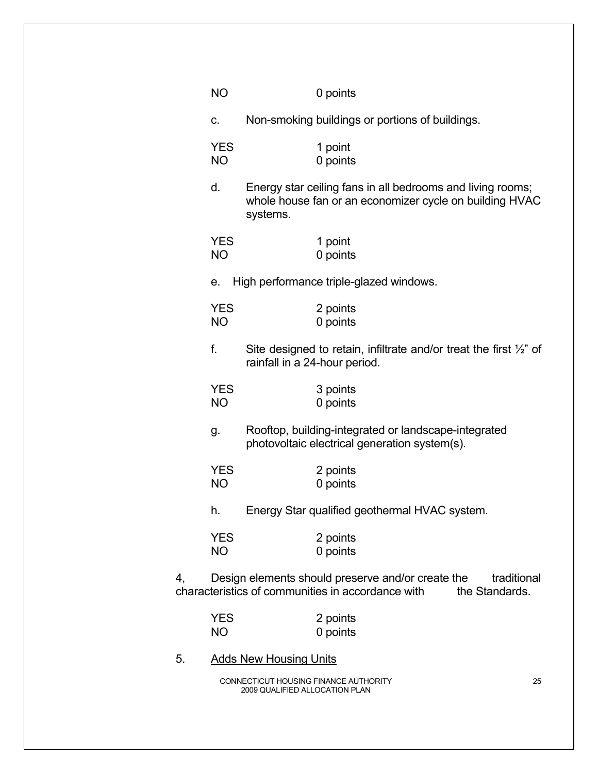|    | <b>NO</b>               | 0 points                                                                                                                                |
|----|-------------------------|-----------------------------------------------------------------------------------------------------------------------------------------|
|    |                         |                                                                                                                                         |
|    | C.                      | Non-smoking buildings or portions of buildings.                                                                                         |
|    | <b>YES</b><br><b>NO</b> | 1 point<br>0 points                                                                                                                     |
|    | d.                      | Energy star ceiling fans in all bedrooms and living rooms;<br>whole house fan or an economizer cycle on building HVAC<br>systems.       |
|    | <b>YES</b><br><b>NO</b> | 1 point<br>0 points                                                                                                                     |
|    | е.                      | High performance triple-glazed windows.                                                                                                 |
|    | <b>YES</b><br><b>NO</b> | 2 points<br>0 points                                                                                                                    |
|    | f.                      | Site designed to retain, infiltrate and/or treat the first $\frac{1}{2}$ of<br>rainfall in a 24-hour period.                            |
|    | <b>YES</b><br><b>NO</b> | 3 points<br>0 points                                                                                                                    |
|    | g.                      | Rooftop, building-integrated or landscape-integrated<br>photovoltaic electrical generation system(s).                                   |
|    | <b>YES</b><br><b>NO</b> | 2 points<br>0 points                                                                                                                    |
|    | h.                      | Energy Star qualified geothermal HVAC system.                                                                                           |
|    | <b>YES</b><br><b>NO</b> | 2 points<br>0 points                                                                                                                    |
| 4, |                         | traditional<br>Design elements should preserve and/or create the<br>characteristics of communities in accordance with<br>the Standards. |
|    | <b>YES</b><br><b>NO</b> | 2 points<br>0 points                                                                                                                    |
| 5. |                         | <b>Adds New Housing Units</b>                                                                                                           |
|    |                         | CONNECTICUT HOUSING FINANCE AUTHORITY<br>25<br>2009 QUALIFIED ALLOCATION PLAN                                                           |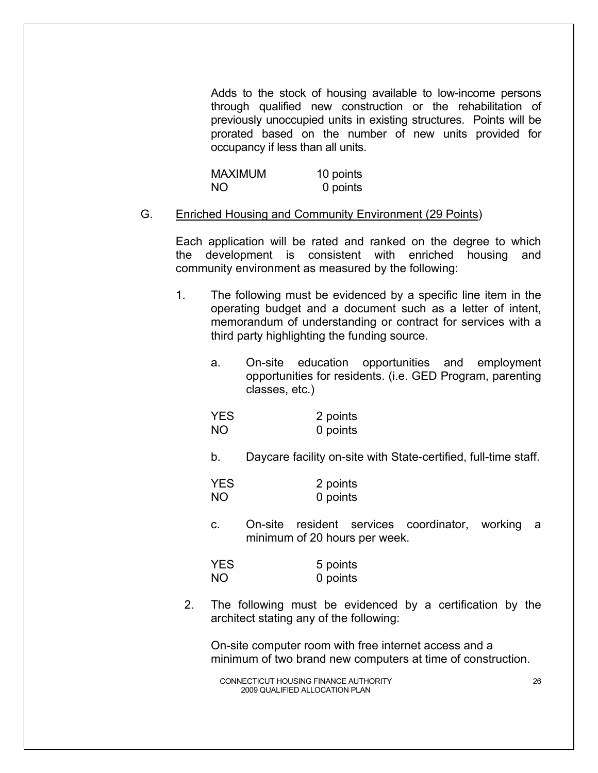Adds to the stock of housing available to low-income persons through qualified new construction or the rehabilitation of previously unoccupied units in existing structures. Points will be prorated based on the number of new units provided for occupancy if less than all units.

| <b>MAXIMUM</b> | 10 points |
|----------------|-----------|
| NO             | 0 points  |

#### G. Enriched Housing and Community Environment (29 Points)

 Each application will be rated and ranked on the degree to which the development is consistent with enriched housing and community environment as measured by the following:

- 1. The following must be evidenced by a specific line item in the operating budget and a document such as a letter of intent, memorandum of understanding or contract for services with a third party highlighting the funding source.
	- a. On-site education opportunities and employment opportunities for residents. (i.e. GED Program, parenting classes, etc.)

| <b>YES</b> | 2 points |
|------------|----------|
| <b>NO</b>  | 0 points |

b. Daycare facility on-site with State-certified, full-time staff.

| YES. | 2 points |
|------|----------|
| ΝO   | 0 points |

c. On-site resident services coordinator, working a minimum of 20 hours per week.

| YES. | 5 points |
|------|----------|
| ΝO   | 0 points |

2. The following must be evidenced by a certification by the architect stating any of the following:

On-site computer room with free internet access and a minimum of two brand new computers at time of construction.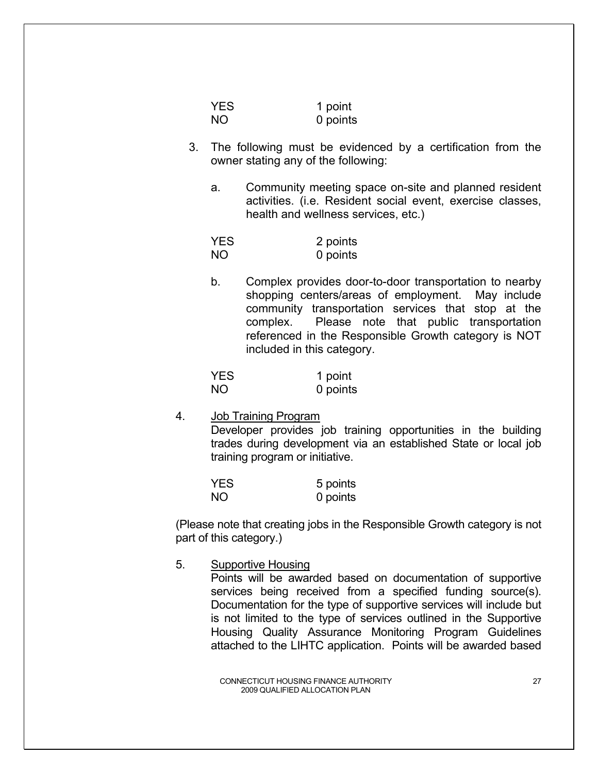| YES. | 1 point  |
|------|----------|
| NO.  | 0 points |

- 3. The following must be evidenced by a certification from the owner stating any of the following:
	- a. Community meeting space on-site and planned resident activities. (i.e. Resident social event, exercise classes, health and wellness services, etc.)

| YES. | 2 points |
|------|----------|
| NO.  | 0 points |

b. Complex provides door-to-door transportation to nearby shopping centers/areas of employment. May include community transportation services that stop at the complex. Please note that public transportation referenced in the Responsible Growth category is NOT included in this category.

| <b>YES</b> | 1 point  |
|------------|----------|
| ΝO         | 0 points |

4. Job Training Program

Developer provides job training opportunities in the building trades during development via an established State or local job training program or initiative.

| <b>YES</b> | 5 points |
|------------|----------|
| NO.        | 0 points |

(Please note that creating jobs in the Responsible Growth category is not part of this category.)

5. Supportive Housing

Points will be awarded based on documentation of supportive services being received from a specified funding source(s). Documentation for the type of supportive services will include but is not limited to the type of services outlined in the Supportive Housing Quality Assurance Monitoring Program Guidelines attached to the LIHTC application. Points will be awarded based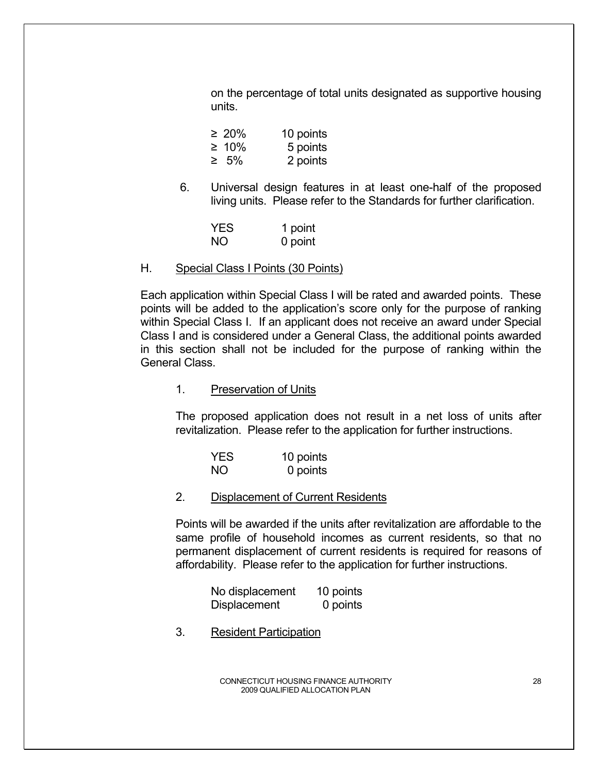on the percentage of total units designated as supportive housing units.

| $\geq 20\%$ | 10 points |
|-------------|-----------|
| ≥ 10%       | 5 points  |
| ≥ 5%        | 2 points  |

6. Universal design features in at least one-half of the proposed living units. Please refer to the Standards for further clarification.

| <b>YES</b> | 1 point |
|------------|---------|
| <b>NO</b>  | 0 point |

#### H. Special Class I Points (30 Points)

Each application within Special Class I will be rated and awarded points. These points will be added to the application's score only for the purpose of ranking within Special Class I. If an applicant does not receive an award under Special Class I and is considered under a General Class, the additional points awarded in this section shall not be included for the purpose of ranking within the General Class.

#### 1. Preservation of Units

 The proposed application does not result in a net loss of units after revitalization. Please refer to the application for further instructions.

| <b>YES</b> | 10 points |
|------------|-----------|
| ΝO         | 0 points  |

#### 2. Displacement of Current Residents

Points will be awarded if the units after revitalization are affordable to the same profile of household incomes as current residents, so that no permanent displacement of current residents is required for reasons of affordability. Please refer to the application for further instructions.

| No displacement     | 10 points |
|---------------------|-----------|
| <b>Displacement</b> | 0 points  |

3. Resident Participation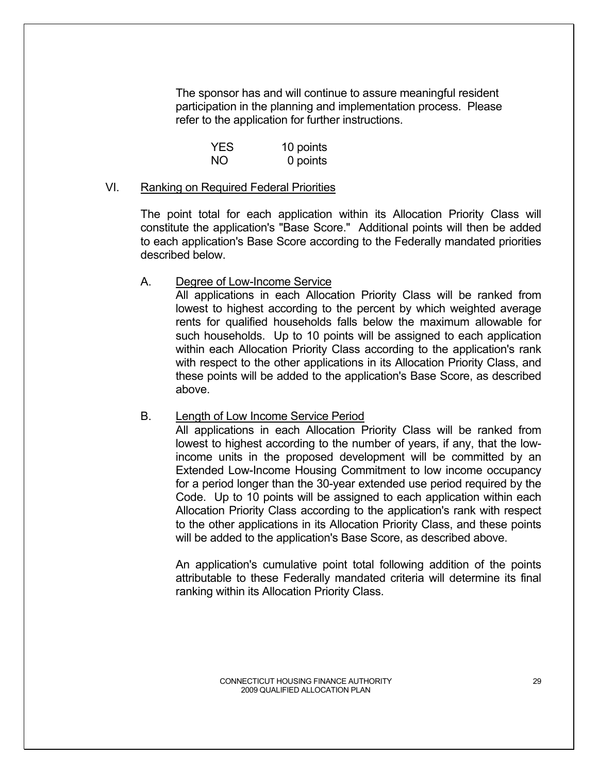The sponsor has and will continue to assure meaningful resident participation in the planning and implementation process. Please refer to the application for further instructions.

| <b>YES</b> | 10 points |
|------------|-----------|
| ΝO         | 0 points  |

#### VI. Ranking on Required Federal Priorities

The point total for each application within its Allocation Priority Class will constitute the application's "Base Score." Additional points will then be added to each application's Base Score according to the Federally mandated priorities described below.

#### A. Degree of Low-Income Service

All applications in each Allocation Priority Class will be ranked from lowest to highest according to the percent by which weighted average rents for qualified households falls below the maximum allowable for such households. Up to 10 points will be assigned to each application within each Allocation Priority Class according to the application's rank with respect to the other applications in its Allocation Priority Class, and these points will be added to the application's Base Score, as described above.

#### B. Length of Low Income Service Period

All applications in each Allocation Priority Class will be ranked from lowest to highest according to the number of years, if any, that the lowincome units in the proposed development will be committed by an Extended Low-Income Housing Commitment to low income occupancy for a period longer than the 30-year extended use period required by the Code. Up to 10 points will be assigned to each application within each Allocation Priority Class according to the application's rank with respect to the other applications in its Allocation Priority Class, and these points will be added to the application's Base Score, as described above.

An application's cumulative point total following addition of the points attributable to these Federally mandated criteria will determine its final ranking within its Allocation Priority Class.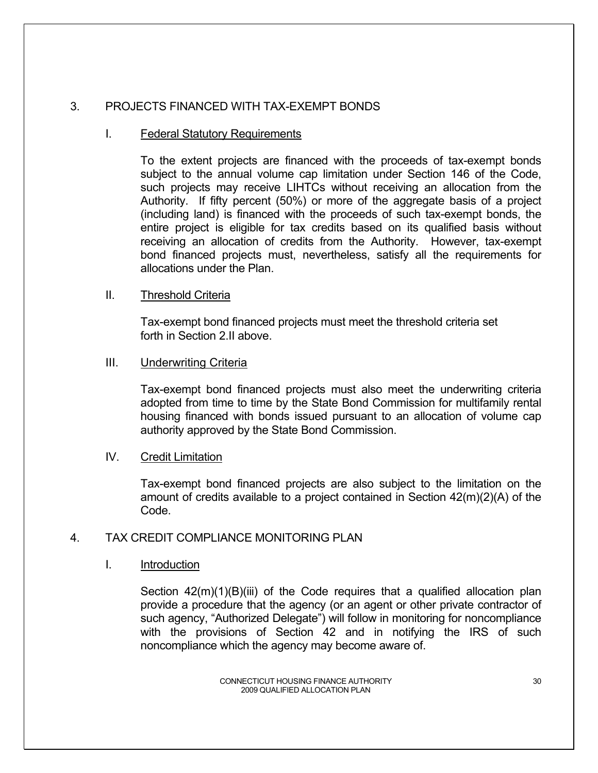## 3. PROJECTS FINANCED WITH TAX-EXEMPT BONDS

## I. Federal Statutory Requirements

 To the extent projects are financed with the proceeds of tax-exempt bonds subject to the annual volume cap limitation under Section 146 of the Code, such projects may receive LIHTCs without receiving an allocation from the Authority. If fifty percent (50%) or more of the aggregate basis of a project (including land) is financed with the proceeds of such tax-exempt bonds, the entire project is eligible for tax credits based on its qualified basis without receiving an allocation of credits from the Authority. However, tax-exempt bond financed projects must, nevertheless, satisfy all the requirements for allocations under the Plan.

## II. Threshold Criteria

 Tax-exempt bond financed projects must meet the threshold criteria set forth in Section 2.II above.

## III. Underwriting Criteria

 Tax-exempt bond financed projects must also meet the underwriting criteria adopted from time to time by the State Bond Commission for multifamily rental housing financed with bonds issued pursuant to an allocation of volume cap authority approved by the State Bond Commission.

#### IV. Credit Limitation

Tax-exempt bond financed projects are also subject to the limitation on the amount of credits available to a project contained in Section 42(m)(2)(A) of the Code.

## 4. TAX CREDIT COMPLIANCE MONITORING PLAN

#### I. Introduction

Section 42(m)(1)(B)(iii) of the Code requires that a qualified allocation plan provide a procedure that the agency (or an agent or other private contractor of such agency, "Authorized Delegate") will follow in monitoring for noncompliance with the provisions of Section 42 and in notifying the IRS of such noncompliance which the agency may become aware of.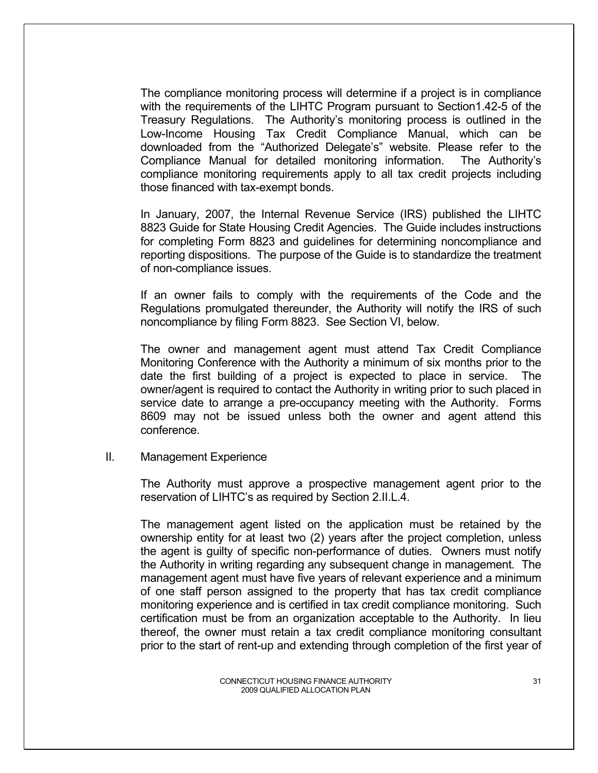The compliance monitoring process will determine if a project is in compliance with the requirements of the LIHTC Program pursuant to Section1.42-5 of the Treasury Regulations. The Authority's monitoring process is outlined in the Low-Income Housing Tax Credit Compliance Manual, which can be downloaded from the "Authorized Delegate's" website. Please refer to the Compliance Manual for detailed monitoring information. The Authority's compliance monitoring requirements apply to all tax credit projects including those financed with tax-exempt bonds.

In January, 2007, the Internal Revenue Service (IRS) published the LIHTC 8823 Guide for State Housing Credit Agencies. The Guide includes instructions for completing Form 8823 and guidelines for determining noncompliance and reporting dispositions. The purpose of the Guide is to standardize the treatment of non-compliance issues.

If an owner fails to comply with the requirements of the Code and the Regulations promulgated thereunder, the Authority will notify the IRS of such noncompliance by filing Form 8823. See Section VI, below.

The owner and management agent must attend Tax Credit Compliance Monitoring Conference with the Authority a minimum of six months prior to the date the first building of a project is expected to place in service. The owner/agent is required to contact the Authority in writing prior to such placed in service date to arrange a pre-occupancy meeting with the Authority. Forms 8609 may not be issued unless both the owner and agent attend this conference.

#### II. Management Experience

The Authority must approve a prospective management agent prior to the reservation of LIHTC's as required by Section 2.II.L.4.

The management agent listed on the application must be retained by the ownership entity for at least two (2) years after the project completion, unless the agent is guilty of specific non-performance of duties. Owners must notify the Authority in writing regarding any subsequent change in management. The management agent must have five years of relevant experience and a minimum of one staff person assigned to the property that has tax credit compliance monitoring experience and is certified in tax credit compliance monitoring. Such certification must be from an organization acceptable to the Authority. In lieu thereof, the owner must retain a tax credit compliance monitoring consultant prior to the start of rent-up and extending through completion of the first year of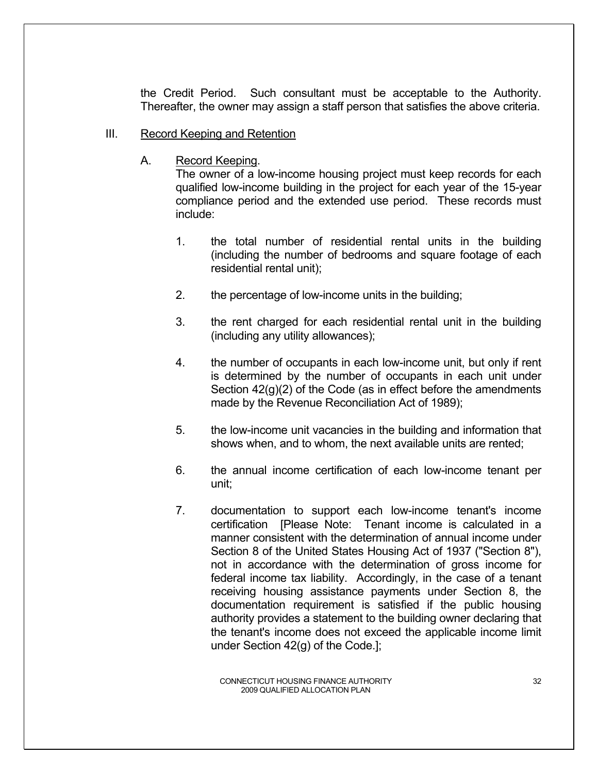the Credit Period. Such consultant must be acceptable to the Authority. Thereafter, the owner may assign a staff person that satisfies the above criteria.

- III. Record Keeping and Retention
	- A. Record Keeping.

 The owner of a low-income housing project must keep records for each qualified low-income building in the project for each year of the 15-year compliance period and the extended use period. These records must include:

- 1. the total number of residential rental units in the building (including the number of bedrooms and square footage of each residential rental unit);
- 2. the percentage of low-income units in the building;
- 3. the rent charged for each residential rental unit in the building (including any utility allowances);
- 4. the number of occupants in each low-income unit, but only if rent is determined by the number of occupants in each unit under Section 42(g)(2) of the Code (as in effect before the amendments made by the Revenue Reconciliation Act of 1989);
- 5. the low-income unit vacancies in the building and information that shows when, and to whom, the next available units are rented;
- 6. the annual income certification of each low-income tenant per unit;
- 7. documentation to support each low-income tenant's income certification [Please Note: Tenant income is calculated in a manner consistent with the determination of annual income under Section 8 of the United States Housing Act of 1937 ("Section 8"), not in accordance with the determination of gross income for federal income tax liability. Accordingly, in the case of a tenant receiving housing assistance payments under Section 8, the documentation requirement is satisfied if the public housing authority provides a statement to the building owner declaring that the tenant's income does not exceed the applicable income limit under Section 42(g) of the Code.];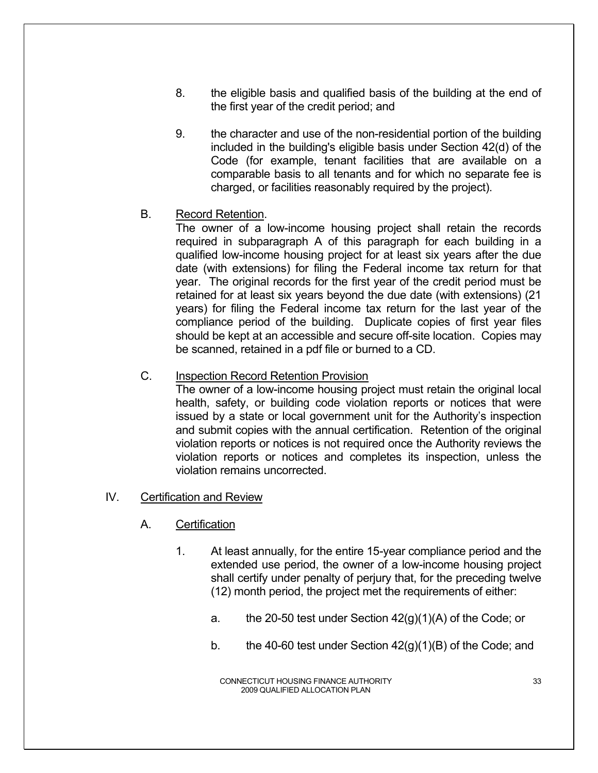- 8. the eligible basis and qualified basis of the building at the end of the first year of the credit period; and
- 9. the character and use of the non-residential portion of the building included in the building's eligible basis under Section 42(d) of the Code (for example, tenant facilities that are available on a comparable basis to all tenants and for which no separate fee is charged, or facilities reasonably required by the project).
- B. Record Retention.

The owner of a low-income housing project shall retain the records required in subparagraph A of this paragraph for each building in a qualified low-income housing project for at least six years after the due date (with extensions) for filing the Federal income tax return for that year. The original records for the first year of the credit period must be retained for at least six years beyond the due date (with extensions) (21 years) for filing the Federal income tax return for the last year of the compliance period of the building. Duplicate copies of first year files should be kept at an accessible and secure off-site location. Copies may be scanned, retained in a pdf file or burned to a CD.

C. Inspection Record Retention Provision

 The owner of a low-income housing project must retain the original local health, safety, or building code violation reports or notices that were issued by a state or local government unit for the Authority's inspection and submit copies with the annual certification. Retention of the original violation reports or notices is not required once the Authority reviews the violation reports or notices and completes its inspection, unless the violation remains uncorrected.

- IV. Certification and Review
	- A. Certification
		- 1. At least annually, for the entire 15-year compliance period and the extended use period, the owner of a low-income housing project shall certify under penalty of perjury that, for the preceding twelve (12) month period, the project met the requirements of either:
			- a. the 20-50 test under Section  $42(q)(1)(A)$  of the Code; or
			- b. the 40-60 test under Section  $42(q)(1)(B)$  of the Code; and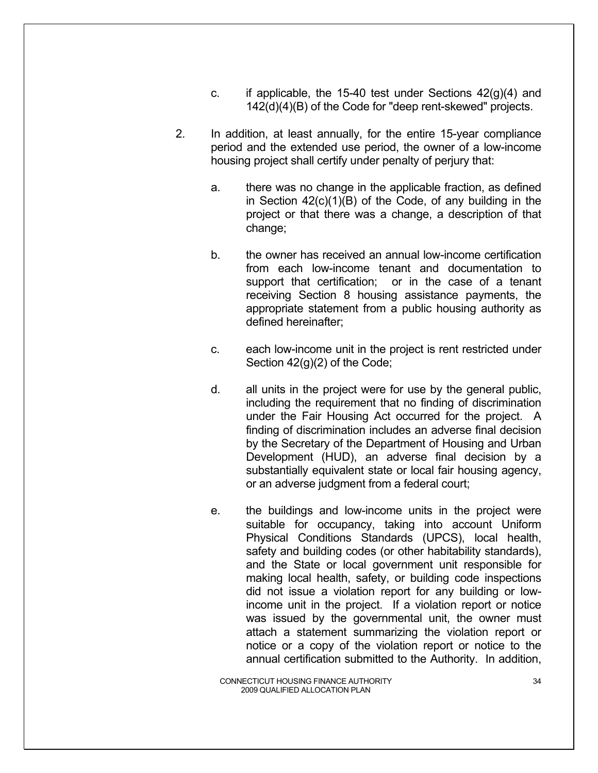- c. if applicable, the 15-40 test under Sections  $42(q)(4)$  and 142(d)(4)(B) of the Code for "deep rent-skewed" projects.
- 2. In addition, at least annually, for the entire 15-year compliance period and the extended use period, the owner of a low-income housing project shall certify under penalty of perjury that:
	- a. there was no change in the applicable fraction, as defined in Section 42(c)(1)(B) of the Code, of any building in the project or that there was a change, a description of that change;
	- b. the owner has received an annual low-income certification from each low-income tenant and documentation to support that certification; or in the case of a tenant receiving Section 8 housing assistance payments, the appropriate statement from a public housing authority as defined hereinafter;
	- c. each low-income unit in the project is rent restricted under Section 42(g)(2) of the Code;
	- d. all units in the project were for use by the general public, including the requirement that no finding of discrimination under the Fair Housing Act occurred for the project. A finding of discrimination includes an adverse final decision by the Secretary of the Department of Housing and Urban Development (HUD), an adverse final decision by a substantially equivalent state or local fair housing agency, or an adverse judgment from a federal court;
	- e. the buildings and low-income units in the project were suitable for occupancy, taking into account Uniform Physical Conditions Standards (UPCS), local health, safety and building codes (or other habitability standards), and the State or local government unit responsible for making local health, safety, or building code inspections did not issue a violation report for any building or lowincome unit in the project. If a violation report or notice was issued by the governmental unit, the owner must attach a statement summarizing the violation report or notice or a copy of the violation report or notice to the annual certification submitted to the Authority. In addition,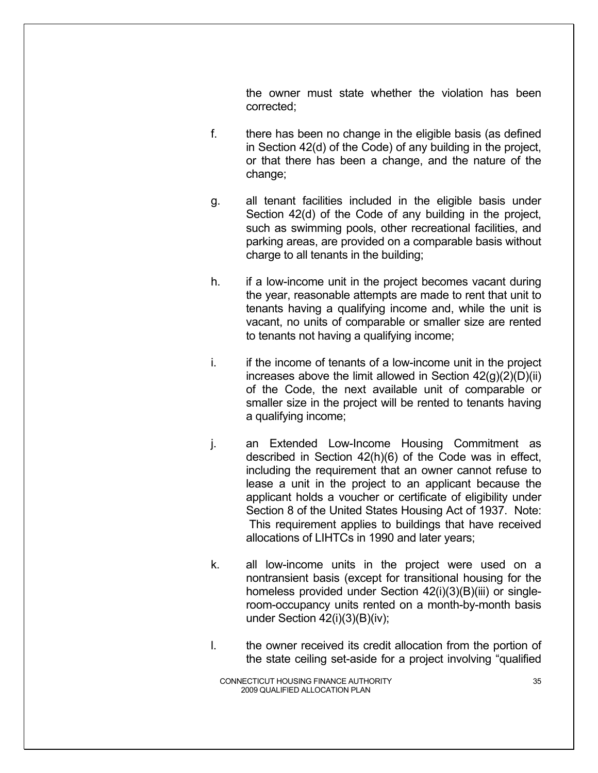the owner must state whether the violation has been corrected;

- f. there has been no change in the eligible basis (as defined in Section 42(d) of the Code) of any building in the project, or that there has been a change, and the nature of the change;
- g. all tenant facilities included in the eligible basis under Section 42(d) of the Code of any building in the project, such as swimming pools, other recreational facilities, and parking areas, are provided on a comparable basis without charge to all tenants in the building;
- h. if a low-income unit in the project becomes vacant during the year, reasonable attempts are made to rent that unit to tenants having a qualifying income and, while the unit is vacant, no units of comparable or smaller size are rented to tenants not having a qualifying income;
- i. if the income of tenants of a low-income unit in the project increases above the limit allowed in Section  $42(q)(2)(D)(ii)$ of the Code, the next available unit of comparable or smaller size in the project will be rented to tenants having a qualifying income;
- j. an Extended Low-Income Housing Commitment as described in Section 42(h)(6) of the Code was in effect, including the requirement that an owner cannot refuse to lease a unit in the project to an applicant because the applicant holds a voucher or certificate of eligibility under Section 8 of the United States Housing Act of 1937. Note: This requirement applies to buildings that have received allocations of LIHTCs in 1990 and later years;
- k. all low-income units in the project were used on a nontransient basis (except for transitional housing for the homeless provided under Section 42(i)(3)(B)(iii) or singleroom-occupancy units rented on a month-by-month basis under Section 42(i)(3)(B)(iv);
- l. the owner received its credit allocation from the portion of the state ceiling set-aside for a project involving "qualified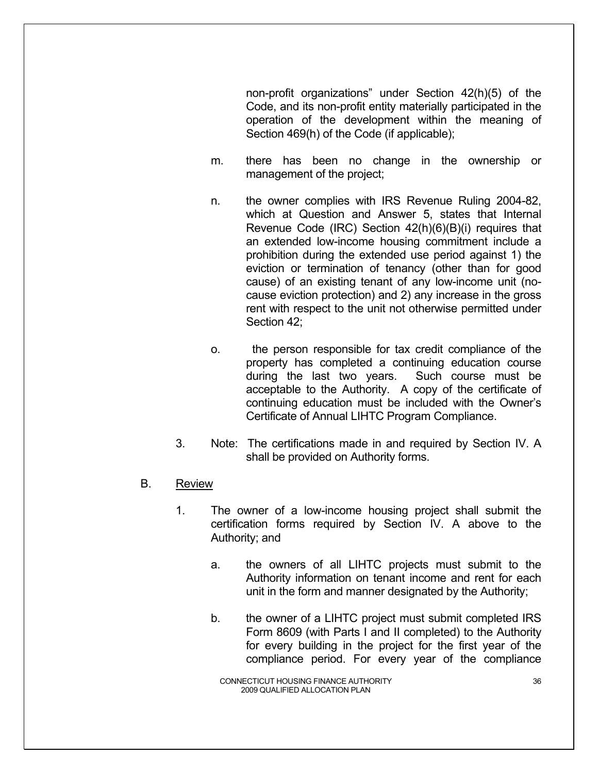non-profit organizations" under Section 42(h)(5) of the Code, and its non-profit entity materially participated in the operation of the development within the meaning of Section 469(h) of the Code (if applicable);

- m. there has been no change in the ownership or management of the project;
- n. the owner complies with IRS Revenue Ruling 2004-82, which at Question and Answer 5, states that Internal Revenue Code (IRC) Section 42(h)(6)(B)(i) requires that an extended low-income housing commitment include a prohibition during the extended use period against 1) the eviction or termination of tenancy (other than for good cause) of an existing tenant of any low-income unit (nocause eviction protection) and 2) any increase in the gross rent with respect to the unit not otherwise permitted under Section 42;
- o. the person responsible for tax credit compliance of the property has completed a continuing education course during the last two years. Such course must be acceptable to the Authority. A copy of the certificate of continuing education must be included with the Owner's Certificate of Annual LIHTC Program Compliance.
- 3. Note: The certifications made in and required by Section IV. A shall be provided on Authority forms.

#### B. Review

- 1. The owner of a low-income housing project shall submit the certification forms required by Section IV. A above to the Authority; and
	- a. the owners of all LIHTC projects must submit to the Authority information on tenant income and rent for each unit in the form and manner designated by the Authority;
	- b. the owner of a LIHTC project must submit completed IRS Form 8609 (with Parts I and II completed) to the Authority for every building in the project for the first year of the compliance period. For every year of the compliance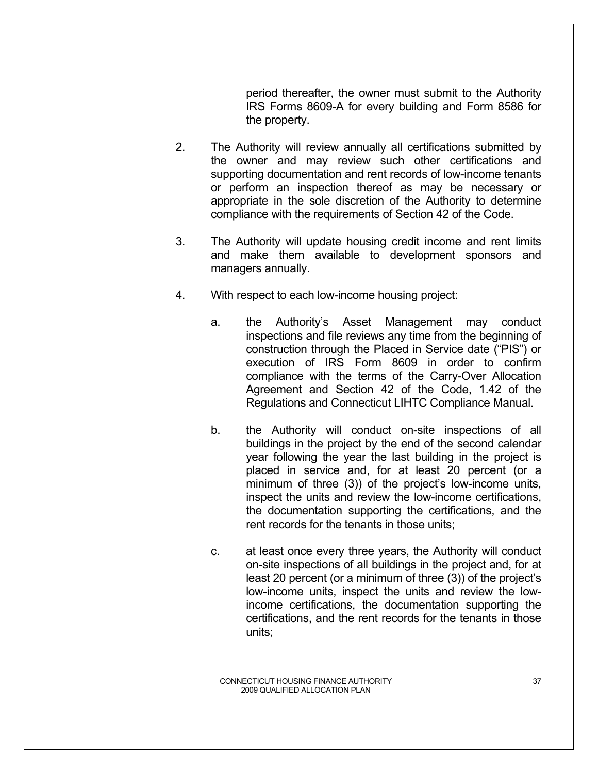period thereafter, the owner must submit to the Authority IRS Forms 8609-A for every building and Form 8586 for the property.

- 2. The Authority will review annually all certifications submitted by the owner and may review such other certifications and supporting documentation and rent records of low-income tenants or perform an inspection thereof as may be necessary or appropriate in the sole discretion of the Authority to determine compliance with the requirements of Section 42 of the Code.
- 3. The Authority will update housing credit income and rent limits and make them available to development sponsors and managers annually.
- 4. With respect to each low-income housing project:
	- a. the Authority's Asset Management may conduct inspections and file reviews any time from the beginning of construction through the Placed in Service date ("PIS") or execution of IRS Form 8609 in order to confirm compliance with the terms of the Carry-Over Allocation Agreement and Section 42 of the Code, 1.42 of the Regulations and Connecticut LIHTC Compliance Manual.
	- b. the Authority will conduct on-site inspections of all buildings in the project by the end of the second calendar year following the year the last building in the project is placed in service and, for at least 20 percent (or a minimum of three (3)) of the project's low-income units, inspect the units and review the low-income certifications, the documentation supporting the certifications, and the rent records for the tenants in those units;
	- c. at least once every three years, the Authority will conduct on-site inspections of all buildings in the project and, for at least 20 percent (or a minimum of three (3)) of the project's low-income units, inspect the units and review the lowincome certifications, the documentation supporting the certifications, and the rent records for the tenants in those units;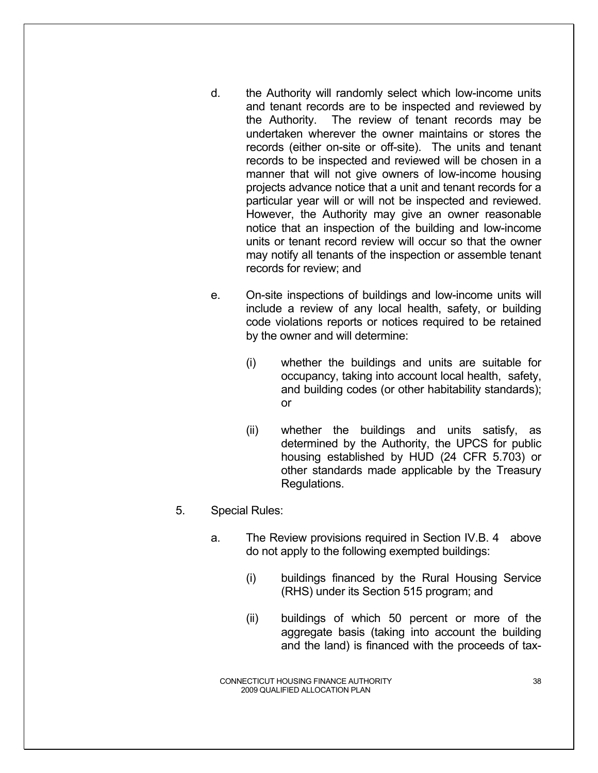- d. the Authority will randomly select which low-income units and tenant records are to be inspected and reviewed by the Authority. The review of tenant records may be undertaken wherever the owner maintains or stores the records (either on-site or off-site). The units and tenant records to be inspected and reviewed will be chosen in a manner that will not give owners of low-income housing projects advance notice that a unit and tenant records for a particular year will or will not be inspected and reviewed. However, the Authority may give an owner reasonable notice that an inspection of the building and low-income units or tenant record review will occur so that the owner may notify all tenants of the inspection or assemble tenant records for review; and
- e. On-site inspections of buildings and low-income units will include a review of any local health, safety, or building code violations reports or notices required to be retained by the owner and will determine:
	- (i) whether the buildings and units are suitable for occupancy, taking into account local health, safety, and building codes (or other habitability standards); or
	- (ii) whether the buildings and units satisfy, as determined by the Authority, the UPCS for public housing established by HUD (24 CFR 5.703) or other standards made applicable by the Treasury Regulations.
- 5. Special Rules:
	- a. The Review provisions required in Section IV.B. 4 above do not apply to the following exempted buildings:
		- (i) buildings financed by the Rural Housing Service (RHS) under its Section 515 program; and
		- (ii) buildings of which 50 percent or more of the aggregate basis (taking into account the building and the land) is financed with the proceeds of tax-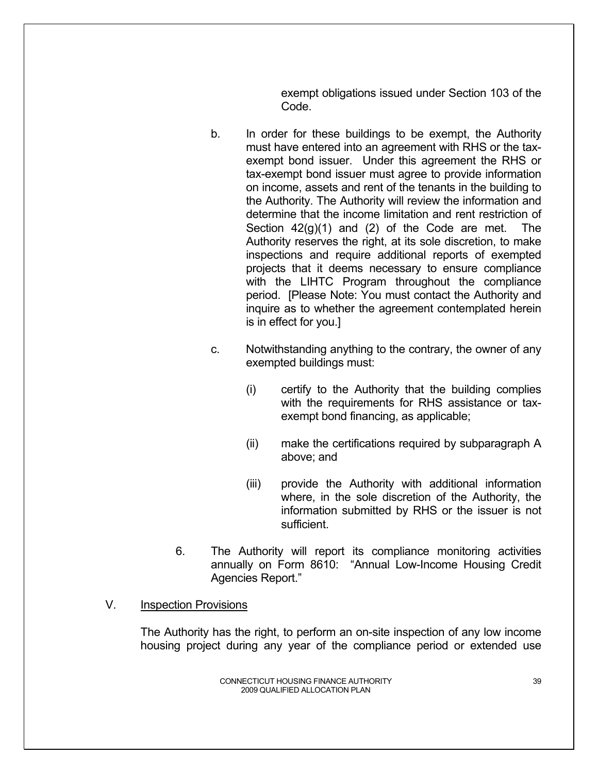exempt obligations issued under Section 103 of the Code.

- b. In order for these buildings to be exempt, the Authority must have entered into an agreement with RHS or the taxexempt bond issuer. Under this agreement the RHS or tax-exempt bond issuer must agree to provide information on income, assets and rent of the tenants in the building to the Authority. The Authority will review the information and determine that the income limitation and rent restriction of Section  $42(q)(1)$  and  $(2)$  of the Code are met. The Authority reserves the right, at its sole discretion, to make inspections and require additional reports of exempted projects that it deems necessary to ensure compliance with the LIHTC Program throughout the compliance period. [Please Note: You must contact the Authority and inquire as to whether the agreement contemplated herein is in effect for you.]
- c. Notwithstanding anything to the contrary, the owner of any exempted buildings must:
	- (i) certify to the Authority that the building complies with the requirements for RHS assistance or taxexempt bond financing, as applicable;
	- (ii) make the certifications required by subparagraph A above; and
	- (iii) provide the Authority with additional information where, in the sole discretion of the Authority, the information submitted by RHS or the issuer is not sufficient.
- 6. The Authority will report its compliance monitoring activities annually on Form 8610: "Annual Low-Income Housing Credit Agencies Report."

## V. Inspection Provisions

 The Authority has the right, to perform an on-site inspection of any low income housing project during any year of the compliance period or extended use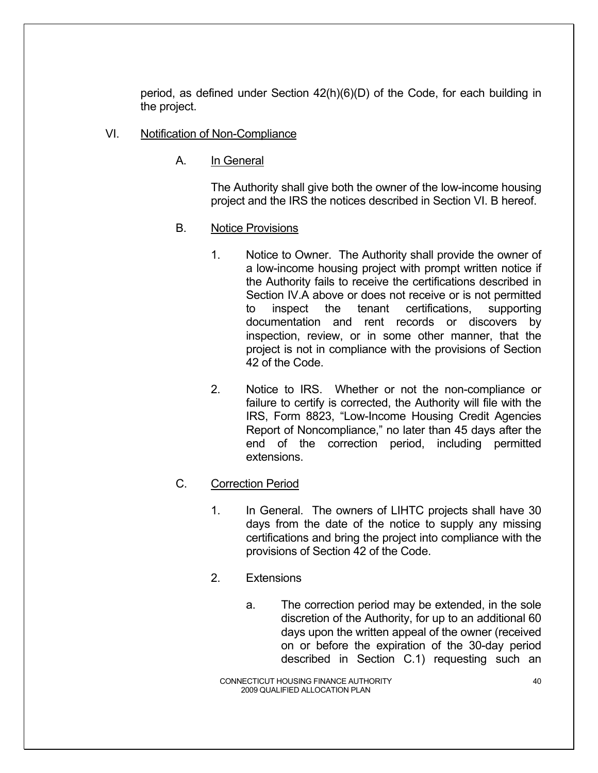period, as defined under Section 42(h)(6)(D) of the Code, for each building in the project.

- VI. Notification of Non-Compliance
	- A. In General

The Authority shall give both the owner of the low-income housing project and the IRS the notices described in Section VI. B hereof.

- B. Notice Provisions
	- 1. Notice to Owner. The Authority shall provide the owner of a low-income housing project with prompt written notice if the Authority fails to receive the certifications described in Section IV.A above or does not receive or is not permitted to inspect the tenant certifications, supporting documentation and rent records or discovers by inspection, review, or in some other manner, that the project is not in compliance with the provisions of Section 42 of the Code.
	- 2. Notice to IRS. Whether or not the non-compliance or failure to certify is corrected, the Authority will file with the IRS, Form 8823, "Low-Income Housing Credit Agencies Report of Noncompliance," no later than 45 days after the end of the correction period, including permitted extensions.
- C. Correction Period
	- 1. In General. The owners of LIHTC projects shall have 30 days from the date of the notice to supply any missing certifications and bring the project into compliance with the provisions of Section 42 of the Code.
	- 2. Extensions
		- a. The correction period may be extended, in the sole discretion of the Authority, for up to an additional 60 days upon the written appeal of the owner (received on or before the expiration of the 30-day period described in Section C.1) requesting such an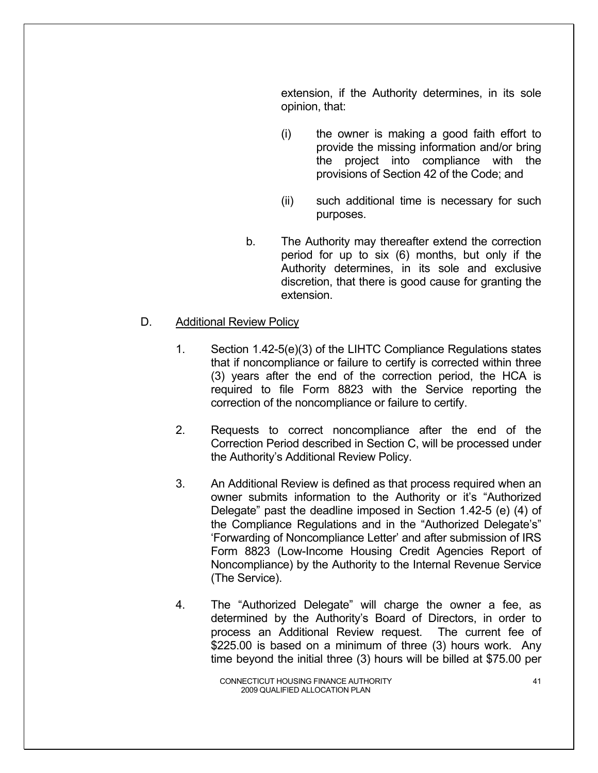extension, if the Authority determines, in its sole opinion, that:

- (i) the owner is making a good faith effort to provide the missing information and/or bring the project into compliance with the provisions of Section 42 of the Code; and
- (ii) such additional time is necessary for such purposes.
- b. The Authority may thereafter extend the correction period for up to six (6) months, but only if the Authority determines, in its sole and exclusive discretion, that there is good cause for granting the extension.

## D. Additional Review Policy

- 1. Section 1.42-5(e)(3) of the LIHTC Compliance Regulations states that if noncompliance or failure to certify is corrected within three (3) years after the end of the correction period, the HCA is required to file Form 8823 with the Service reporting the correction of the noncompliance or failure to certify.
- 2. Requests to correct noncompliance after the end of the Correction Period described in Section C, will be processed under the Authority's Additional Review Policy.
- 3. An Additional Review is defined as that process required when an owner submits information to the Authority or it's "Authorized Delegate" past the deadline imposed in Section 1.42-5 (e) (4) of the Compliance Regulations and in the "Authorized Delegate's" 'Forwarding of Noncompliance Letter' and after submission of IRS Form 8823 (Low-Income Housing Credit Agencies Report of Noncompliance) by the Authority to the Internal Revenue Service (The Service).
- 4. The "Authorized Delegate" will charge the owner a fee, as determined by the Authority's Board of Directors, in order to process an Additional Review request. The current fee of \$225.00 is based on a minimum of three (3) hours work. Any time beyond the initial three (3) hours will be billed at \$75.00 per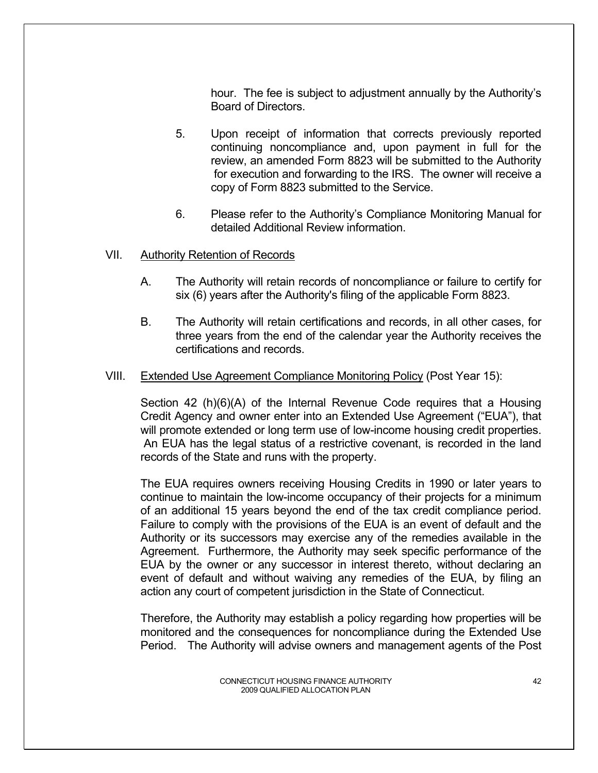hour. The fee is subject to adjustment annually by the Authority's Board of Directors.

- 5. Upon receipt of information that corrects previously reported continuing noncompliance and, upon payment in full for the review, an amended Form 8823 will be submitted to the Authority for execution and forwarding to the IRS. The owner will receive a copy of Form 8823 submitted to the Service.
- 6. Please refer to the Authority's Compliance Monitoring Manual for detailed Additional Review information.

#### VII. Authority Retention of Records

- A. The Authority will retain records of noncompliance or failure to certify for six (6) years after the Authority's filing of the applicable Form 8823.
- B. The Authority will retain certifications and records, in all other cases, for three years from the end of the calendar year the Authority receives the certifications and records.

#### VIII. Extended Use Agreement Compliance Monitoring Policy (Post Year 15):

Section 42 (h)(6)(A) of the Internal Revenue Code requires that a Housing Credit Agency and owner enter into an Extended Use Agreement ("EUA"), that will promote extended or long term use of low-income housing credit properties. An EUA has the legal status of a restrictive covenant, is recorded in the land records of the State and runs with the property.

The EUA requires owners receiving Housing Credits in 1990 or later years to continue to maintain the low-income occupancy of their projects for a minimum of an additional 15 years beyond the end of the tax credit compliance period. Failure to comply with the provisions of the EUA is an event of default and the Authority or its successors may exercise any of the remedies available in the Agreement. Furthermore, the Authority may seek specific performance of the EUA by the owner or any successor in interest thereto, without declaring an event of default and without waiving any remedies of the EUA, by filing an action any court of competent jurisdiction in the State of Connecticut.

Therefore, the Authority may establish a policy regarding how properties will be monitored and the consequences for noncompliance during the Extended Use Period. The Authority will advise owners and management agents of the Post